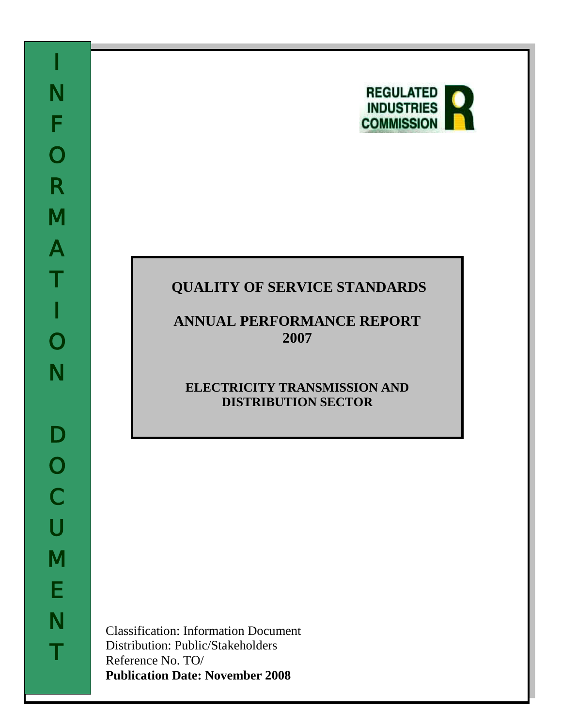

# **QUALITY OF SERVICE STANDARDS**

**ANNUAL PERFORMANCE REPORT 2007**

## **ELECTRICITY TRANSMISSION AND DISTRIBUTION SECTOR**

Classification: Information Document Distribution: Public/Stakeholders Reference No. TO/ **Publication Date: November 2008**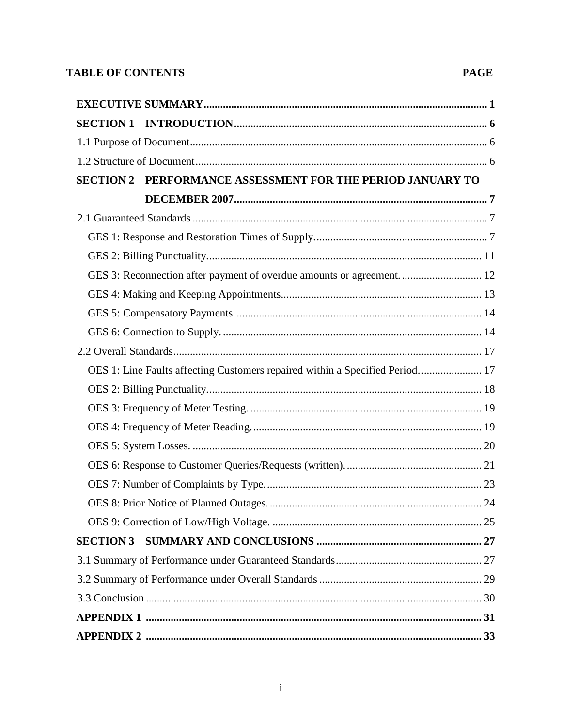## **TABLE OF CONTENTS**

## **PAGE**

| PERFORMANCE ASSESSMENT FOR THE PERIOD JANUARY TO<br><b>SECTION 2</b>         |  |
|------------------------------------------------------------------------------|--|
|                                                                              |  |
|                                                                              |  |
|                                                                              |  |
|                                                                              |  |
| GES 3: Reconnection after payment of overdue amounts or agreement 12         |  |
|                                                                              |  |
|                                                                              |  |
|                                                                              |  |
|                                                                              |  |
| OES 1: Line Faults affecting Customers repaired within a Specified Period 17 |  |
|                                                                              |  |
|                                                                              |  |
|                                                                              |  |
|                                                                              |  |
|                                                                              |  |
|                                                                              |  |
|                                                                              |  |
|                                                                              |  |
| <b>SECTION 3</b>                                                             |  |
|                                                                              |  |
|                                                                              |  |
|                                                                              |  |
|                                                                              |  |
|                                                                              |  |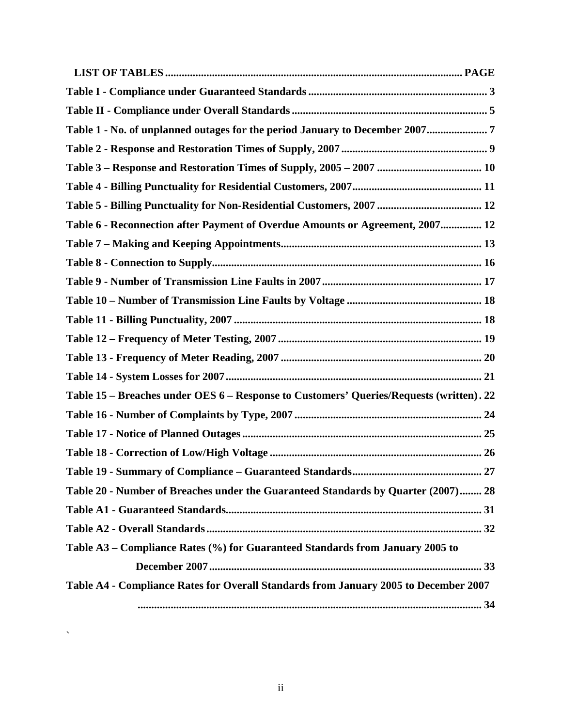| Table 1 - No. of unplanned outages for the period January to December 20077             |
|-----------------------------------------------------------------------------------------|
|                                                                                         |
|                                                                                         |
|                                                                                         |
|                                                                                         |
| Table 6 - Reconnection after Payment of Overdue Amounts or Agreement, 2007 12           |
|                                                                                         |
|                                                                                         |
|                                                                                         |
|                                                                                         |
|                                                                                         |
|                                                                                         |
|                                                                                         |
|                                                                                         |
| Table 15 - Breaches under OES 6 - Response to Customers' Queries/Requests (written). 22 |
|                                                                                         |
|                                                                                         |
|                                                                                         |
|                                                                                         |
| Table 20 - Number of Breaches under the Guaranteed Standards by Quarter (2007) 28       |
|                                                                                         |
|                                                                                         |
| Table A3 - Compliance Rates (%) for Guaranteed Standards from January 2005 to           |
|                                                                                         |
| Table A4 - Compliance Rates for Overall Standards from January 2005 to December 2007    |
|                                                                                         |

 $\hat{\mathbf{v}}$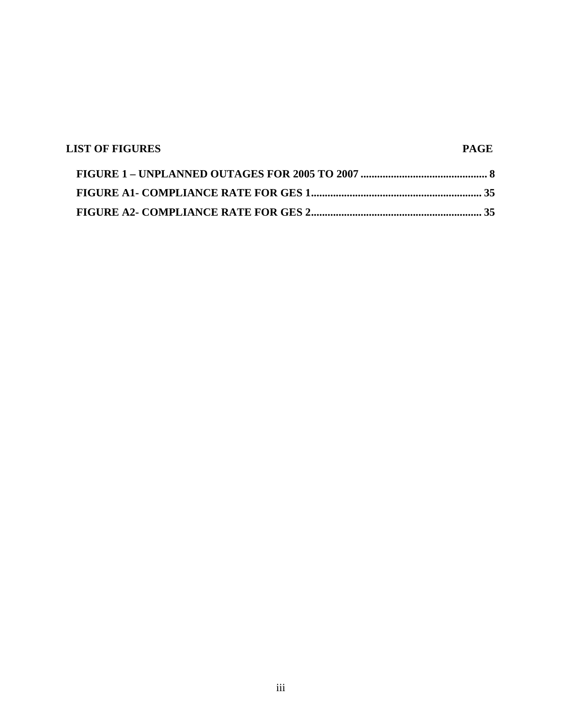| <b>LIST OF FIGURES</b> | <b>PAGE</b> |
|------------------------|-------------|
|                        |             |
|                        |             |
|                        |             |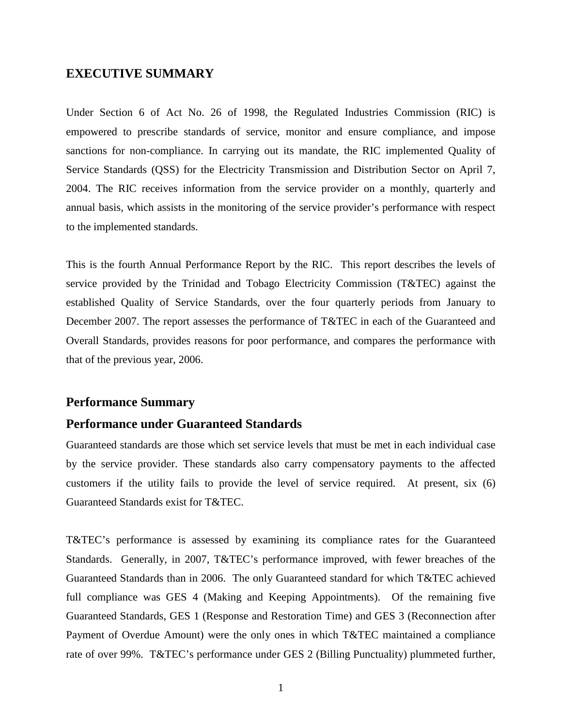### <span id="page-4-0"></span>**EXECUTIVE SUMMARY**

Under Section 6 of Act No. 26 of 1998, the Regulated Industries Commission (RIC) is empowered to prescribe standards of service, monitor and ensure compliance, and impose sanctions for non-compliance. In carrying out its mandate, the RIC implemented Quality of Service Standards (QSS) for the Electricity Transmission and Distribution Sector on April 7, 2004. The RIC receives information from the service provider on a monthly, quarterly and annual basis, which assists in the monitoring of the service provider's performance with respect to the implemented standards.

This is the fourth Annual Performance Report by the RIC. This report describes the levels of service provided by the Trinidad and Tobago Electricity Commission (T&TEC) against the established Quality of Service Standards, over the four quarterly periods from January to December 2007. The report assesses the performance of T&TEC in each of the Guaranteed and Overall Standards, provides reasons for poor performance, and compares the performance with that of the previous year, 2006.

## **Performance Summary**

### **Performance under Guaranteed Standards**

Guaranteed standards are those which set service levels that must be met in each individual case by the service provider. These standards also carry compensatory payments to the affected customers if the utility fails to provide the level of service required. At present, six (6) Guaranteed Standards exist for T&TEC.

T&TEC's performance is assessed by examining its compliance rates for the Guaranteed Standards. Generally, in 2007, T&TEC's performance improved, with fewer breaches of the Guaranteed Standards than in 2006. The only Guaranteed standard for which T&TEC achieved full compliance was GES 4 (Making and Keeping Appointments). Of the remaining five Guaranteed Standards, GES 1 (Response and Restoration Time) and GES 3 (Reconnection after Payment of Overdue Amount) were the only ones in which T&TEC maintained a compliance rate of over 99%. T&TEC's performance under GES 2 (Billing Punctuality) plummeted further,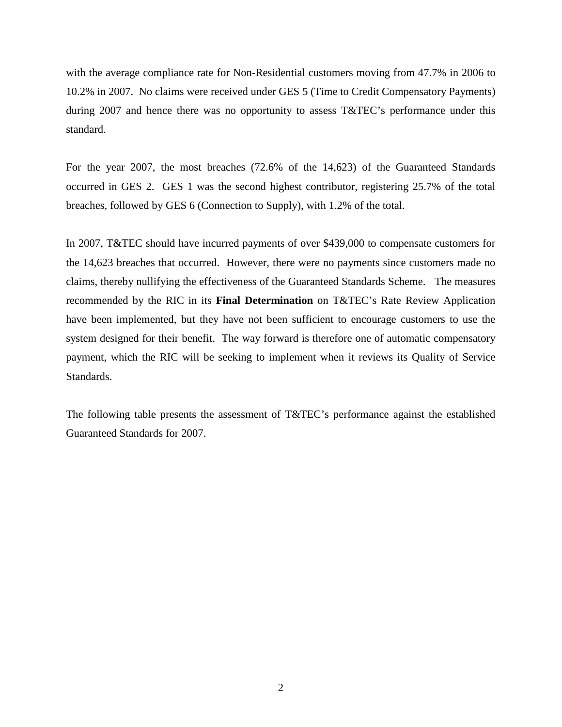with the average compliance rate for Non-Residential customers moving from 47.7% in 2006 to 10.2% in 2007. No claims were received under GES 5 (Time to Credit Compensatory Payments) during 2007 and hence there was no opportunity to assess T&TEC's performance under this standard.

For the year 2007, the most breaches (72.6% of the 14,623) of the Guaranteed Standards occurred in GES 2. GES 1 was the second highest contributor, registering 25.7% of the total breaches, followed by GES 6 (Connection to Supply), with 1.2% of the total.

In 2007, T&TEC should have incurred payments of over \$439,000 to compensate customers for the 14,623 breaches that occurred. However, there were no payments since customers made no claims, thereby nullifying the effectiveness of the Guaranteed Standards Scheme. The measures recommended by the RIC in its **Final Determination** on T&TEC's Rate Review Application have been implemented, but they have not been sufficient to encourage customers to use the system designed for their benefit. The way forward is therefore one of automatic compensatory payment, which the RIC will be seeking to implement when it reviews its Quality of Service Standards.

The following table presents the assessment of T&TEC's performance against the established Guaranteed Standards for 2007.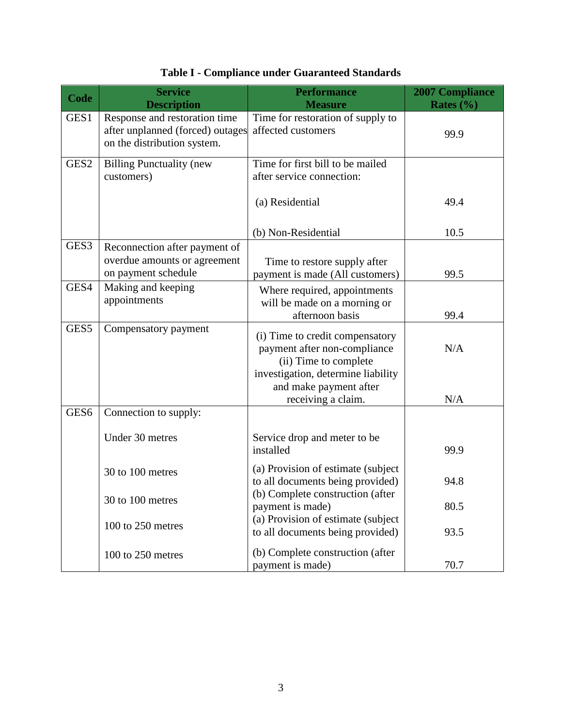<span id="page-6-0"></span>

| Code             | <b>Service</b><br><b>Description</b>                                                             | <b>Performance</b><br><b>Measure</b>                                                                                                                                           | <b>2007 Compliance</b><br>Rates $(\% )$ |
|------------------|--------------------------------------------------------------------------------------------------|--------------------------------------------------------------------------------------------------------------------------------------------------------------------------------|-----------------------------------------|
| GES1             | Response and restoration time<br>after unplanned (forced) outages<br>on the distribution system. | Time for restoration of supply to<br>affected customers                                                                                                                        | 99.9                                    |
| GES <sub>2</sub> | <b>Billing Punctuality (new</b><br>customers)                                                    | Time for first bill to be mailed<br>after service connection:                                                                                                                  |                                         |
|                  |                                                                                                  | (a) Residential                                                                                                                                                                | 49.4                                    |
|                  |                                                                                                  | (b) Non-Residential                                                                                                                                                            | 10.5                                    |
| GES3             | Reconnection after payment of<br>overdue amounts or agreement<br>on payment schedule             | Time to restore supply after<br>payment is made (All customers)                                                                                                                | 99.5                                    |
| GES4             | Making and keeping<br>appointments                                                               | Where required, appointments<br>will be made on a morning or<br>afternoon basis                                                                                                | 99.4                                    |
| GES5             | Compensatory payment                                                                             | (i) Time to credit compensatory<br>payment after non-compliance<br>(ii) Time to complete<br>investigation, determine liability<br>and make payment after<br>receiving a claim. | N/A<br>N/A                              |
| GES <sub>6</sub> | Connection to supply:                                                                            |                                                                                                                                                                                |                                         |
|                  | Under 30 metres                                                                                  | Service drop and meter to be<br>installed                                                                                                                                      | 99.9                                    |
|                  | 30 to 100 metres                                                                                 | (a) Provision of estimate (subject<br>to all documents being provided)                                                                                                         | 94.8                                    |
|                  | 30 to 100 metres                                                                                 | (b) Complete construction (after<br>payment is made)                                                                                                                           | 80.5                                    |
|                  | 100 to 250 metres                                                                                | (a) Provision of estimate (subject<br>to all documents being provided)                                                                                                         | 93.5                                    |
|                  | 100 to 250 metres                                                                                | (b) Complete construction (after<br>payment is made)                                                                                                                           | 70.7                                    |

## **Table I - Compliance under Guaranteed Standards**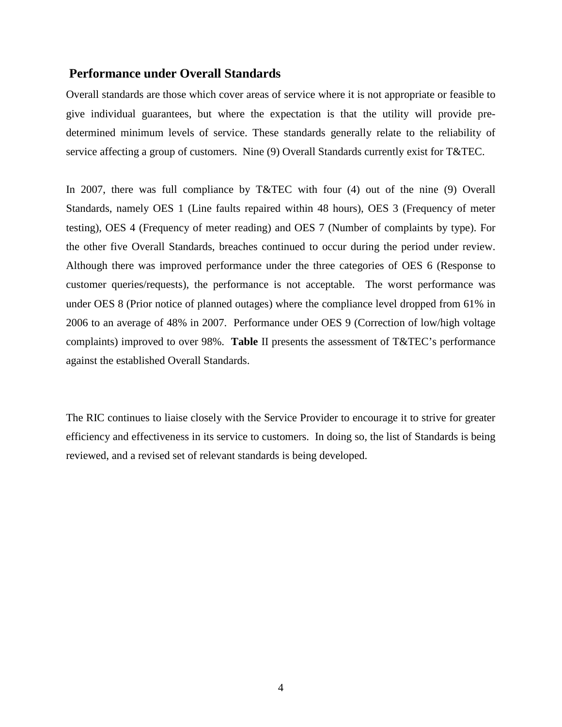### **Performance under Overall Standards**

Overall standards are those which cover areas of service where it is not appropriate or feasible to give individual guarantees, but where the expectation is that the utility will provide predetermined minimum levels of service. These standards generally relate to the reliability of service affecting a group of customers. Nine (9) Overall Standards currently exist for T&TEC.

In 2007, there was full compliance by T&TEC with four (4) out of the nine (9) Overall Standards, namely OES 1 (Line faults repaired within 48 hours), OES 3 (Frequency of meter testing), OES 4 (Frequency of meter reading) and OES 7 (Number of complaints by type). For the other five Overall Standards, breaches continued to occur during the period under review. Although there was improved performance under the three categories of OES 6 (Response to customer queries/requests), the performance is not acceptable. The worst performance was under OES 8 (Prior notice of planned outages) where the compliance level dropped from 61% in 2006 to an average of 48% in 2007. Performance under OES 9 (Correction of low/high voltage complaints) improved to over 98%. **Table** II presents the assessment of T&TEC's performance against the established Overall Standards.

The RIC continues to liaise closely with the Service Provider to encourage it to strive for greater efficiency and effectiveness in its service to customers. In doing so, the list of Standards is being reviewed, and a revised set of relevant standards is being developed.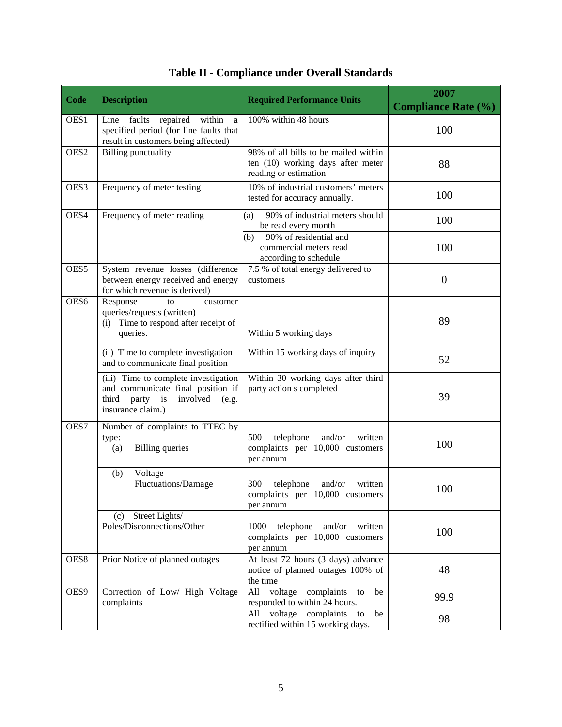<span id="page-8-0"></span>

| Code             | <b>Description</b>                                                                                                                    | <b>Required Performance Units</b>                                                                  | 2007<br><b>Compliance Rate (%)</b> |
|------------------|---------------------------------------------------------------------------------------------------------------------------------------|----------------------------------------------------------------------------------------------------|------------------------------------|
| OES1             | repaired<br>within<br>Line<br>faults<br>a<br>specified period (for line faults that<br>result in customers being affected)            | 100% within 48 hours                                                                               | 100                                |
| OES <sub>2</sub> | <b>Billing punctuality</b>                                                                                                            | 98% of all bills to be mailed within<br>ten (10) working days after meter<br>reading or estimation | 88                                 |
| OES3             | Frequency of meter testing                                                                                                            | 10% of industrial customers' meters<br>tested for accuracy annually.                               | 100                                |
| OES4             | Frequency of meter reading                                                                                                            | 90% of industrial meters should<br>(a)<br>be read every month                                      | 100                                |
|                  |                                                                                                                                       | 90% of residential and<br>(b)<br>commercial meters read<br>according to schedule                   | 100                                |
| OES <sub>5</sub> | System revenue losses (difference<br>between energy received and energy<br>for which revenue is derived)                              | 7.5 % of total energy delivered to<br>customers                                                    | $\theta$                           |
| OES6             | Response<br>customer<br>to<br>queries/requests (written)<br>(i) Time to respond after receipt of<br>queries.                          | Within 5 working days                                                                              | 89                                 |
|                  | (ii) Time to complete investigation<br>and to communicate final position                                                              | Within 15 working days of inquiry                                                                  | 52                                 |
|                  | (iii) Time to complete investigation<br>and communicate final position if<br>third party is<br>involved<br>(e.g.<br>insurance claim.) | Within 30 working days after third<br>party action s completed                                     | 39                                 |
| OES7             | Number of complaints to TTEC by<br>type:<br><b>Billing</b> queries<br>(a)                                                             | 500<br>telephone<br>and/or<br>written<br>complaints per 10,000 customers<br>per annum              | 100                                |
|                  | Voltage<br>(b)<br><b>Fluctuations/Damage</b>                                                                                          | 300<br>telephone<br>and/or<br>written<br>complaints per 10,000 customers<br>per annum              | 100                                |
|                  | (c) Street Lights/<br>Poles/Disconnections/Other                                                                                      | 1000<br>telephone and/or written<br>complaints per 10,000 customers<br>per annum                   | 100                                |
| OES8             | Prior Notice of planned outages                                                                                                       | At least 72 hours (3 days) advance<br>notice of planned outages 100% of<br>the time                | 48                                 |
| OES9             | Correction of Low/ High Voltage<br>complaints                                                                                         | All voltage<br>complaints<br>be<br>to<br>responded to within 24 hours.                             | 99.9                               |
|                  |                                                                                                                                       | All voltage complaints<br>be<br>to<br>rectified within 15 working days.                            | 98                                 |

|  | Table II - Compliance under Overall Standards |  |  |  |
|--|-----------------------------------------------|--|--|--|
|--|-----------------------------------------------|--|--|--|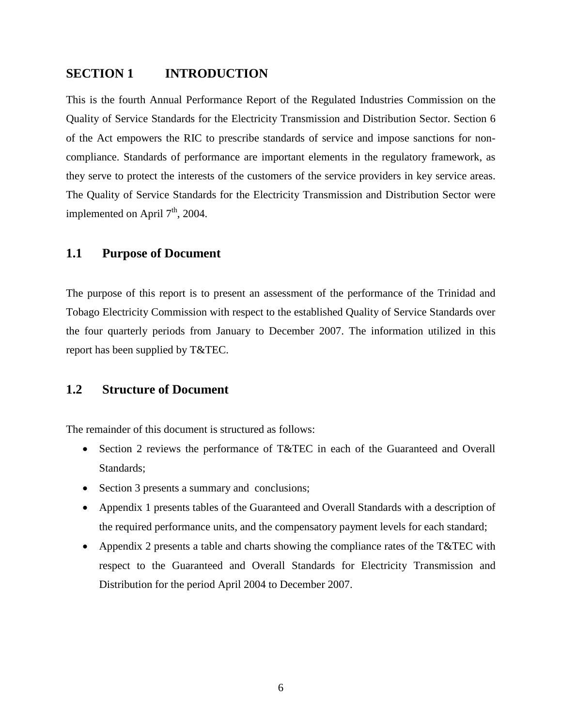### <span id="page-9-0"></span>**SECTION 1 INTRODUCTION**

This is the fourth Annual Performance Report of the Regulated Industries Commission on the Quality of Service Standards for the Electricity Transmission and Distribution Sector. Section 6 of the Act empowers the RIC to prescribe standards of service and impose sanctions for noncompliance. Standards of performance are important elements in the regulatory framework, as they serve to protect the interests of the customers of the service providers in key service areas. The Quality of Service Standards for the Electricity Transmission and Distribution Sector were implemented on April  $7<sup>th</sup>$ , 2004.

### <span id="page-9-1"></span>**1.1 Purpose of Document**

The purpose of this report is to present an assessment of the performance of the Trinidad and Tobago Electricity Commission with respect to the established Quality of Service Standards over the four quarterly periods from January to December 2007. The information utilized in this report has been supplied by T&TEC.

### <span id="page-9-2"></span>**1.2 Structure of Document**

The remainder of this document is structured as follows:

- Section 2 reviews the performance of T&TEC in each of the Guaranteed and Overall Standards;
- Section 3 presents a summary and conclusions;
- Appendix 1 presents tables of the Guaranteed and Overall Standards with a description of the required performance units, and the compensatory payment levels for each standard;
- Appendix 2 presents a table and charts showing the compliance rates of the T&TEC with respect to the Guaranteed and Overall Standards for Electricity Transmission and Distribution for the period April 2004 to December 2007.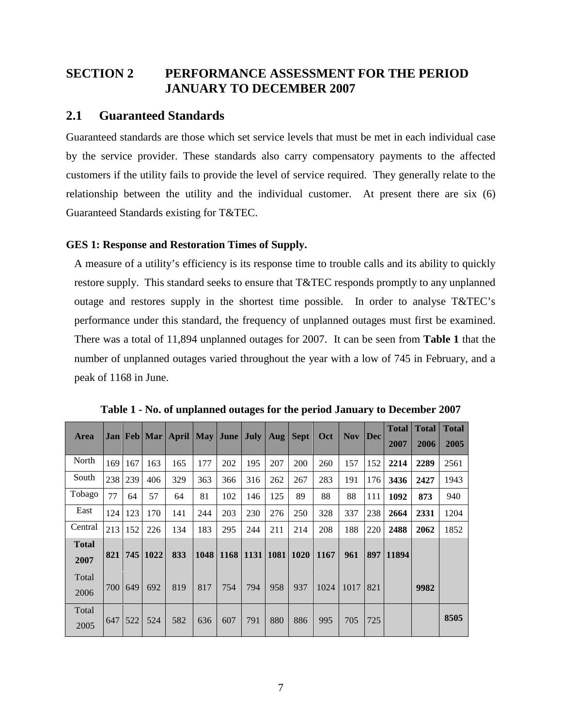## <span id="page-10-0"></span>**SECTION 2 PERFORMANCE ASSESSMENT FOR THE PERIOD JANUARY TO DECEMBER 2007**

## <span id="page-10-1"></span>**2.1 Guaranteed Standards**

Guaranteed standards are those which set service levels that must be met in each individual case by the service provider. These standards also carry compensatory payments to the affected customers if the utility fails to provide the level of service required. They generally relate to the relationship between the utility and the individual customer. At present there are six (6) Guaranteed Standards existing for T&TEC.

### <span id="page-10-2"></span>**GES 1: Response and Restoration Times of Supply.**

A measure of a utility's efficiency is its response time to trouble calls and its ability to quickly restore supply. This standard seeks to ensure that T&TEC responds promptly to any unplanned outage and restores supply in the shortest time possible. In order to analyse T&TEC's performance under this standard, the frequency of unplanned outages must first be examined. There was a total of 11,894 unplanned outages for 2007. It can be seen from **Table 1** that the number of unplanned outages varied throughout the year with a low of 745 in February, and a peak of 1168 in June.

<span id="page-10-3"></span>

| <b>Area</b>  |       |     |      | Jan   Feb   Mar   April   May   June   July |      |     |     | Aug | <b>Sept</b>               | <b>Oct</b> | Nov. |     | <b>Total</b> | <b>Total</b> | <b>Total</b> |
|--------------|-------|-----|------|---------------------------------------------|------|-----|-----|-----|---------------------------|------------|------|-----|--------------|--------------|--------------|
|              |       |     |      |                                             |      |     |     |     |                           |            |      |     | 2007         | 2006         | 2005         |
| North        | 169   | 167 | 163  | 165                                         | 177  | 202 | 195 | 207 | 200                       | 260        | 157  | 152 | 2214         | 2289         | 2561         |
| South        | 238   | 239 | 406  | 329                                         | 363  | 366 | 316 | 262 | 267                       | 283        | 191  | 176 | 3436         | 2427         | 1943         |
| Tobago       | 77    | 64  | 57   | 64                                          | 81   | 102 | 146 | 125 | 89                        | 88         | 88   | 111 | 1092         | 873          | 940          |
| East         | 124   | 123 | 170  | 141                                         | 244  | 203 | 230 | 276 | 250                       | 328        | 337  | 238 | 2664         | 2331         | 1204         |
| Central      | 213   | 152 | 226  | 134                                         | 183  | 295 | 244 | 211 | 214                       | 208        | 188  | 220 | 2488         | 2062         | 1852         |
| <b>Total</b> |       |     |      |                                             |      |     |     |     |                           |            |      |     |              |              |              |
| 2007         | 821   | 745 | 1022 | 833                                         | 1048 |     |     |     | 1168   1131   1081   1020 | 1167       | 961  |     | 897 11894    |              |              |
| Total        |       |     |      |                                             |      |     |     |     |                           |            |      |     |              |              |              |
| 2006         | 700 l | 649 | 692  | 819                                         | 817  | 754 | 794 | 958 | 937                       | 1024       | 1017 | 821 |              | 9982         |              |
| Total        |       |     |      |                                             |      |     |     |     |                           |            |      |     |              |              |              |
| 2005         | 647   | 522 | 524  | 582                                         | 636  | 607 | 791 | 880 | 886                       | 995        | 705  | 725 |              |              | 8505         |

**Table 1 - No. of unplanned outages for the period January to December 2007**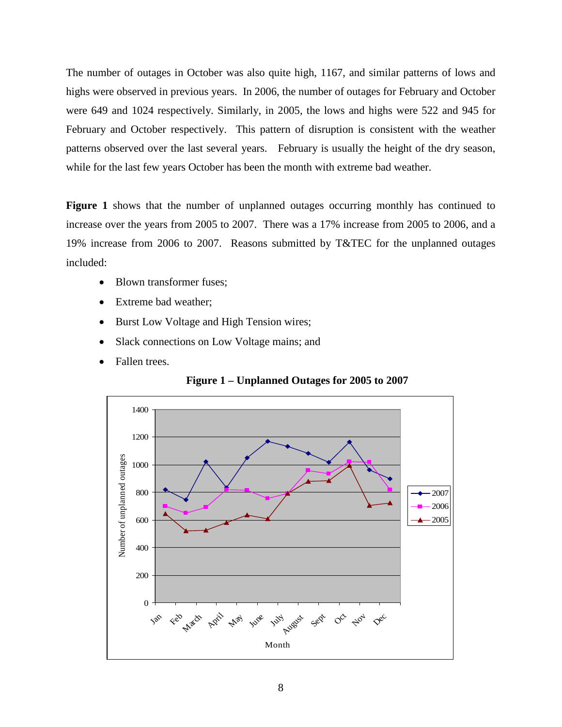The number of outages in October was also quite high, 1167, and similar patterns of lows and highs were observed in previous years. In 2006, the number of outages for February and October were 649 and 1024 respectively. Similarly, in 2005, the lows and highs were 522 and 945 for February and October respectively. This pattern of disruption is consistent with the weather patterns observed over the last several years. February is usually the height of the dry season, while for the last few years October has been the month with extreme bad weather.

**Figure 1** shows that the number of unplanned outages occurring monthly has continued to increase over the years from 2005 to 2007. There was a 17% increase from 2005 to 2006, and a 19% increase from 2006 to 2007. Reasons submitted by T&TEC for the unplanned outages included:

- Blown transformer fuses;
- Extreme bad weather;
- Burst Low Voltage and High Tension wires;
- Slack connections on Low Voltage mains; and
- Fallen trees.



<span id="page-11-0"></span>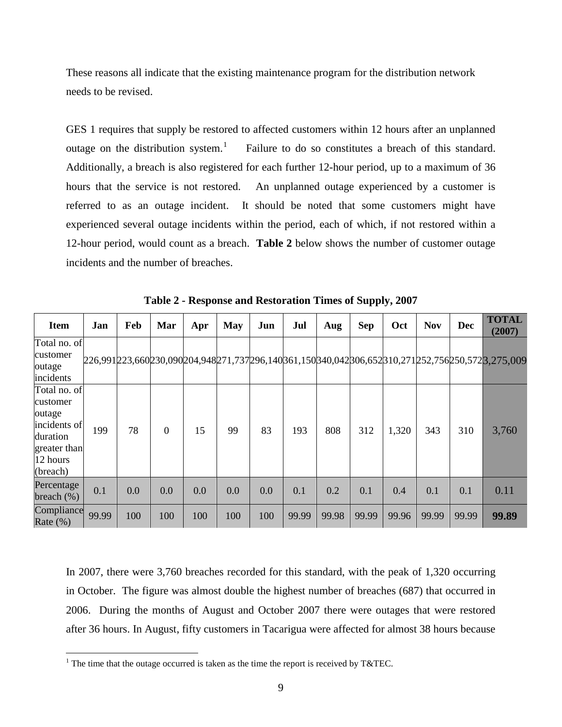These reasons all indicate that the existing maintenance program for the distribution network needs to be revised.

GES 1 requires that supply be restored to affected customers within 12 hours after an unplanned outage on the distribution system.<sup>[1](#page-12-1)</sup> Failure to do so constitutes a breach of this standard. Additionally, a breach is also registered for each further 12-hour period, up to a maximum of 36 hours that the service is not restored. An unplanned outage experienced by a customer is referred to as an outage incident. It should be noted that some customers might have experienced several outage incidents within the period, each of which, if not restored within a 12-hour period, would count as a breach. **Table 2** below shows the number of customer outage incidents and the number of breaches.

<span id="page-12-0"></span>

| <b>Item</b>                                                                                            | Jan   | Feb | Mar            | Apr | <b>May</b> | Jun | Jul   | Aug   | <b>Sep</b> | Oct   | <b>Nov</b> | <b>Dec</b> | <b>TOTAL</b><br>(2007)                                                                        |
|--------------------------------------------------------------------------------------------------------|-------|-----|----------------|-----|------------|-----|-------|-------|------------|-------|------------|------------|-----------------------------------------------------------------------------------------------|
| Total no. of<br>customer<br>outage<br>incidents                                                        |       |     |                |     |            |     |       |       |            |       |            |            | 226,991223,660230,090204,948271,737296,140361,150340,042306,652310,271252,756250,5723,275,009 |
| Total no. of<br>customer<br>outage<br>incidents of<br>duration<br>greater than<br>12 hours<br>(breach) | 199   | 78  | $\overline{0}$ | 15  | 99         | 83  | 193   | 808   | 312        | 1,320 | 343        | 310        | 3,760                                                                                         |
| Percentage<br>breach $(\%)$                                                                            | 0.1   | 0.0 | 0.0            | 0.0 | 0.0        | 0.0 | 0.1   | 0.2   | 0.1        | 0.4   | 0.1        | 0.1        | 0.11                                                                                          |
| Compliance<br>Rate $(\%)$                                                                              | 99.99 | 100 | 100            | 100 | 100        | 100 | 99.99 | 99.98 | 99.99      | 99.96 | 99.99      | 99.99      | 99.89                                                                                         |

**Table 2 - Response and Restoration Times of Supply, 2007**

In 2007, there were 3,760 breaches recorded for this standard, with the peak of 1,320 occurring in October. The figure was almost double the highest number of breaches (687) that occurred in 2006. During the months of August and October 2007 there were outages that were restored after 36 hours. In August, fifty customers in Tacarigua were affected for almost 38 hours because

<span id="page-12-1"></span><sup>&</sup>lt;sup>1</sup> The time that the outage occurred is taken as the time the report is received by T&TEC.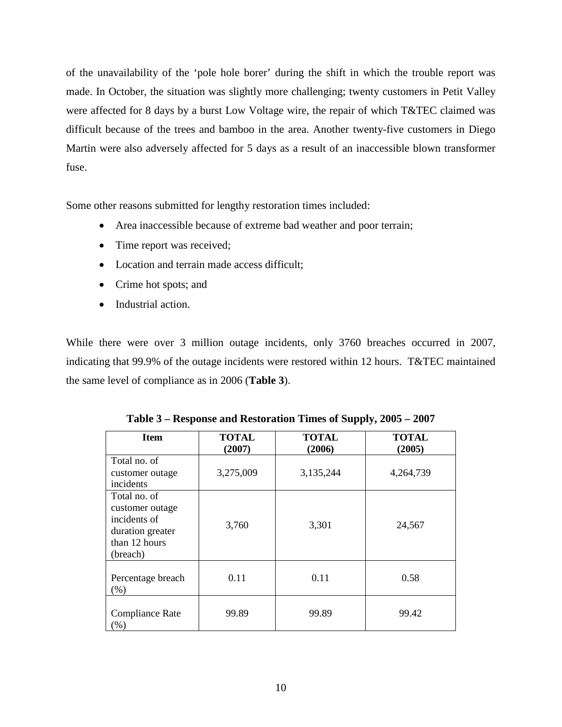of the unavailability of the 'pole hole borer' during the shift in which the trouble report was made. In October, the situation was slightly more challenging; twenty customers in Petit Valley were affected for 8 days by a burst Low Voltage wire, the repair of which T&TEC claimed was difficult because of the trees and bamboo in the area. Another twenty-five customers in Diego Martin were also adversely affected for 5 days as a result of an inaccessible blown transformer fuse.

Some other reasons submitted for lengthy restoration times included:

- Area inaccessible because of extreme bad weather and poor terrain;
- Time report was received;
- Location and terrain made access difficult;
- Crime hot spots; and
- Industrial action.

While there were over 3 million outage incidents, only 3760 breaches occurred in 2007, indicating that 99.9% of the outage incidents were restored within 12 hours. T&TEC maintained the same level of compliance as in 2006 (**Table 3**).

<span id="page-13-0"></span>

| <b>Item</b>                                                                                      | TOTAL<br>(2007) | <b>TOTAL</b><br>(2006) | <b>TOTAL</b><br>(2005) |
|--------------------------------------------------------------------------------------------------|-----------------|------------------------|------------------------|
| Total no. of<br>customer outage<br>incidents                                                     | 3,275,009       | 3,135,244              | 4,264,739              |
| Total no. of<br>customer outage<br>incidents of<br>duration greater<br>than 12 hours<br>(breach) | 3,760           | 3,301                  | 24,567                 |
| Percentage breach<br>(% )                                                                        | 0.11            | 0.11                   | 0.58                   |
| Compliance Rate<br>(%)                                                                           | 99.89           | 99.89                  | 99.42                  |

**Table 3 – Response and Restoration Times of Supply, 2005 – 2007**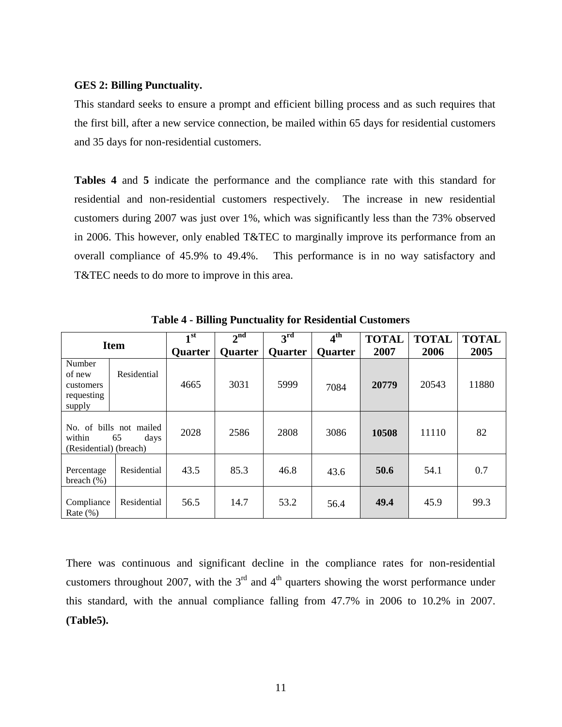#### <span id="page-14-0"></span>**GES 2: Billing Punctuality.**

This standard seeks to ensure a prompt and efficient billing process and as such requires that the first bill, after a new service connection, be mailed within 65 days for residential customers and 35 days for non-residential customers.

**Tables 4** and **5** indicate the performance and the compliance rate with this standard for residential and non-residential customers respectively. The increase in new residential customers during 2007 was just over 1%, which was significantly less than the 73% observed in 2006. This however, only enabled T&TEC to marginally improve its performance from an overall compliance of 45.9% to 49.4%. This performance is in no way satisfactory and T&TEC needs to do more to improve in this area.

<span id="page-14-1"></span>

| <b>Item</b>                                                               |             | 1 <sup>st</sup><br><b>Quarter</b> | $2^{nd}$<br><b>Quarter</b> | 3 <sup>rd</sup><br><b>Quarter</b> | 4 <sup>th</sup><br><b>Ouarter</b> | <b>TOTAL</b><br>2007 | <b>TOTAL</b><br>2006 | <b>TOTAL</b><br>2005 |
|---------------------------------------------------------------------------|-------------|-----------------------------------|----------------------------|-----------------------------------|-----------------------------------|----------------------|----------------------|----------------------|
| Number<br>of new<br>customers<br>requesting<br>supply                     | Residential | 4665                              | 3031                       | 5999                              | 7084                              | 20779                | 20543                | 11880                |
| No. of bills not mailed<br>within<br>65<br>days<br>(Residential) (breach) |             | 2028                              | 2586                       | 2808                              | 3086                              | 10508                | 11110                | 82                   |
| Percentage<br>breach $(\%)$                                               | Residential | 43.5                              | 85.3                       | 46.8                              | 43.6                              | 50.6                 | 54.1                 | 0.7                  |
| Compliance<br>Rate $(\%)$                                                 | Residential | 56.5                              | 14.7                       | 53.2                              | 56.4                              | 49.4                 | 45.9                 | 99.3                 |

**Table 4 - Billing Punctuality for Residential Customers**

There was continuous and significant decline in the compliance rates for non-residential customers throughout 2007, with the  $3<sup>rd</sup>$  and  $4<sup>th</sup>$  quarters showing the worst performance under this standard, with the annual compliance falling from 47.7% in 2006 to 10.2% in 2007. **(Table5).**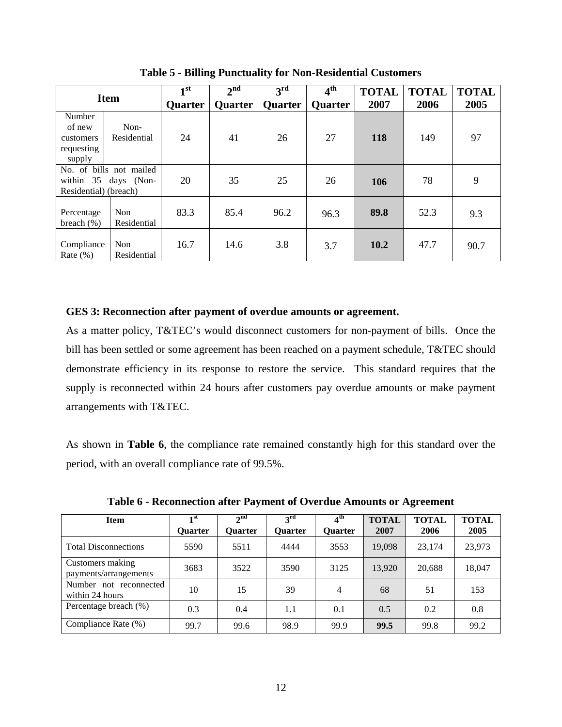<span id="page-15-1"></span>

| <b>Item</b>                                                              |                     | 1 <sup>st</sup><br><b>Quarter</b> | $2^{nd}$<br><b>Quarter</b> | 3 <sup>rd</sup><br>Quarter | $4^{\rm th}$<br><b>Quarter</b> | <b>TOTAL</b><br>2007 | <b>TOTAL</b><br>2006 | <b>TOTAL</b><br>2005 |
|--------------------------------------------------------------------------|---------------------|-----------------------------------|----------------------------|----------------------------|--------------------------------|----------------------|----------------------|----------------------|
| Number<br>of new<br>customers<br>requesting<br>supply                    | Non-<br>Residential | 24                                | 41                         | 26                         | 27                             | 118                  | 149                  | 97                   |
| No. of bills not mailed<br>within 35 days (Non-<br>Residential) (breach) |                     | 20                                | 35                         | 25                         | 26                             | 106                  | 78                   | 9                    |
| Percentage<br>breach $(\% )$                                             | Non<br>Residential  | 83.3                              | 85.4                       | 96.2                       | 96.3                           | 89.8                 | 52.3                 | 9.3                  |
| Compliance<br>Rate $(\% )$                                               | Non<br>Residential  | 16.7                              | 14.6                       | 3.8                        | 3.7                            | 10.2                 | 47.7                 | 90.7                 |

**Table 5 - Billing Punctuality for Non-Residential Customers**

### <span id="page-15-0"></span>**GES 3: Reconnection after payment of overdue amounts or agreement.**

As a matter policy, T&TEC's would disconnect customers for non-payment of bills. Once the bill has been settled or some agreement has been reached on a payment schedule, T&TEC should demonstrate efficiency in its response to restore the service. This standard requires that the supply is reconnected within 24 hours after customers pay overdue amounts or make payment arrangements with T&TEC.

As shown in **Table 6**, the compliance rate remained constantly high for this standard over the period, with an overall compliance rate of 99.5%.

<span id="page-15-2"></span>

| <b>Item</b>                               | 1st<br><b>Ouarter</b> | 2 <sub>nd</sub><br><b>Ouarter</b> | 3 <sup>rd</sup><br>Ouarter | 4 <sup>th</sup><br><b>Ouarter</b> | <b>TOTAL</b><br>2007 | <b>TOTAL</b><br>2006 | <b>TOTAL</b><br>2005 |
|-------------------------------------------|-----------------------|-----------------------------------|----------------------------|-----------------------------------|----------------------|----------------------|----------------------|
| <b>Total Disconnections</b>               | 5590                  | 5511                              | 4444                       | 3553                              | 19,098               | 23,174               | 23,973               |
| Customers making<br>payments/arrangements | 3683                  | 3522                              | 3590                       | 3125                              | 13,920               | 20,688               | 18,047               |
| Number not reconnected<br>within 24 hours | 10                    | 15                                | 39                         | 4                                 | 68                   | 51                   | 153                  |
| Percentage breach (%)                     | 0.3                   | 0.4                               | 1.1                        | 0.1                               | 0.5                  | 0.2                  | 0.8                  |
| Compliance Rate (%)                       | 99.7                  | 99.6                              | 98.9                       | 99.9                              | 99.5                 | 99.8                 | 99.2                 |

**Table 6 - Reconnection after Payment of Overdue Amounts or Agreement**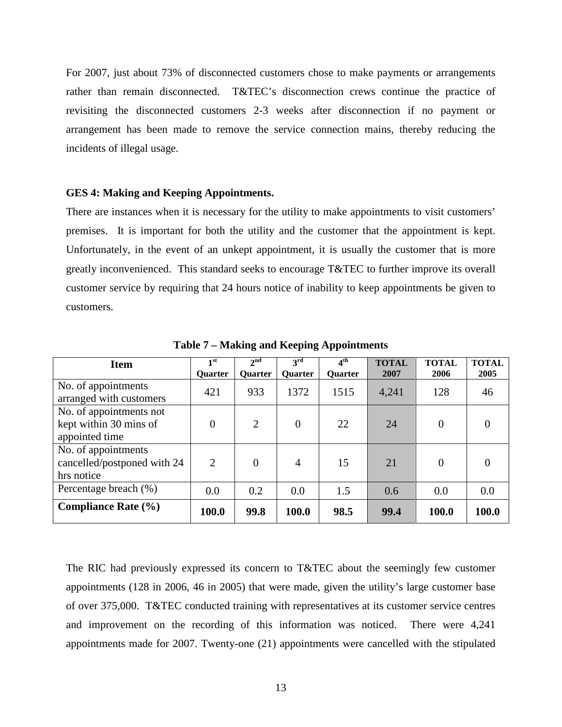For 2007, just about 73% of disconnected customers chose to make payments or arrangements rather than remain disconnected. T&TEC's disconnection crews continue the practice of revisiting the disconnected customers 2-3 weeks after disconnection if no payment or arrangement has been made to remove the service connection mains, thereby reducing the incidents of illegal usage.

#### <span id="page-16-0"></span>**GES 4: Making and Keeping Appointments.**

There are instances when it is necessary for the utility to make appointments to visit customers' premises. It is important for both the utility and the customer that the appointment is kept. Unfortunately, in the event of an unkept appointment, it is usually the customer that is more greatly inconvenienced. This standard seeks to encourage T&TEC to further improve its overall customer service by requiring that 24 hours notice of inability to keep appointments be given to customers.

<span id="page-16-1"></span>

| <b>Item</b>                                        | 1 <sup>st</sup> | 2 <sup>nd</sup> | $3^{\rm rd}$   | 4 <sup>th</sup> | <b>TOTAL</b> | <b>TOTAL</b>   | <b>TOTAL</b> |
|----------------------------------------------------|-----------------|-----------------|----------------|-----------------|--------------|----------------|--------------|
|                                                    | <b>Ouarter</b>  | Quarter         | <b>Ouarter</b> | Quarter         | 2007         | 2006           | 2005         |
| No. of appointments<br>arranged with customers     | 421             | 933             | 1372           | 1515            | 4,241        | 128            | 46           |
| No. of appointments not<br>kept within 30 mins of  | $\overline{0}$  | $\overline{2}$  | $\overline{0}$ | 22              | 24           | $\overline{0}$ | 0            |
| appointed time                                     |                 |                 |                |                 |              |                |              |
| No. of appointments<br>cancelled/postponed with 24 | $\overline{2}$  | $\Omega$        | $\overline{4}$ | 15              | 21           | $\Omega$       | 0            |
| hrs notice                                         |                 |                 |                |                 |              |                |              |
| Percentage breach (%)                              | 0.0             | 0.2             | 0.0            | 1.5             | 0.6          | 0.0            | 0.0          |
| <b>Compliance Rate (%)</b>                         | 100.0           | 99.8            | 100.0          | 98.5            | 99.4         | 100.0          | 100.0        |

**Table 7 – Making and Keeping Appointments**

The RIC had previously expressed its concern to T&TEC about the seemingly few customer appointments (128 in 2006, 46 in 2005) that were made, given the utility's large customer base of over 375,000. T&TEC conducted training with representatives at its customer service centres and improvement on the recording of this information was noticed. There were 4,241 appointments made for 2007. Twenty-one (21) appointments were cancelled with the stipulated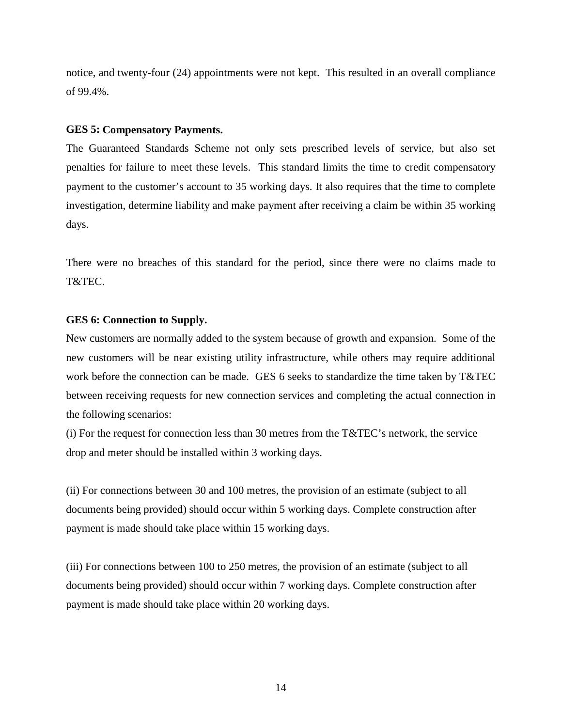notice, and twenty-four (24) appointments were not kept. This resulted in an overall compliance of 99.4%.

#### <span id="page-17-0"></span>**GES 5: Compensatory Payments.**

The Guaranteed Standards Scheme not only sets prescribed levels of service, but also set penalties for failure to meet these levels. This standard limits the time to credit compensatory payment to the customer's account to 35 working days. It also requires that the time to complete investigation, determine liability and make payment after receiving a claim be within 35 working days.

There were no breaches of this standard for the period, since there were no claims made to T&TEC.

### <span id="page-17-1"></span>**GES 6: Connection to Supply.**

New customers are normally added to the system because of growth and expansion. Some of the new customers will be near existing utility infrastructure, while others may require additional work before the connection can be made. GES 6 seeks to standardize the time taken by T&TEC between receiving requests for new connection services and completing the actual connection in the following scenarios:

(i) For the request for connection less than 30 metres from the T&TEC's network, the service drop and meter should be installed within 3 working days.

(ii) For connections between 30 and 100 metres, the provision of an estimate (subject to all documents being provided) should occur within 5 working days. Complete construction after payment is made should take place within 15 working days.

(iii) For connections between 100 to 250 metres, the provision of an estimate (subject to all documents being provided) should occur within 7 working days. Complete construction after payment is made should take place within 20 working days.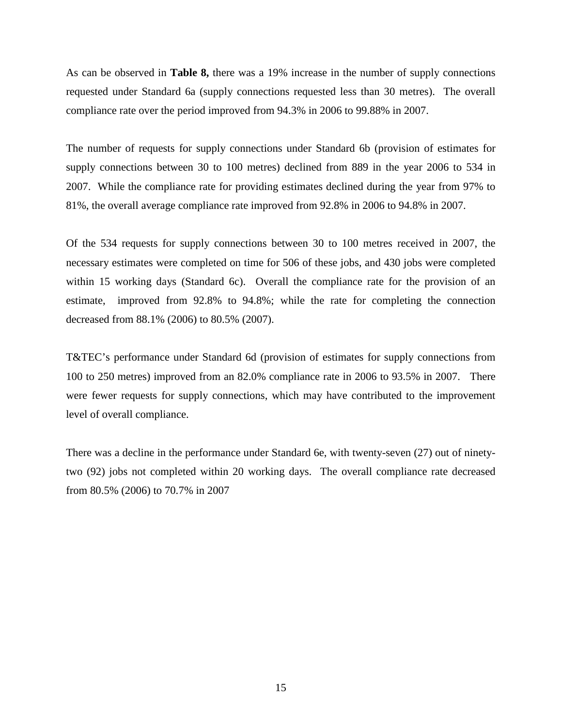As can be observed in **Table 8,** there was a 19% increase in the number of supply connections requested under Standard 6a (supply connections requested less than 30 metres). The overall compliance rate over the period improved from 94.3% in 2006 to 99.88% in 2007.

The number of requests for supply connections under Standard 6b (provision of estimates for supply connections between 30 to 100 metres) declined from 889 in the year 2006 to 534 in 2007. While the compliance rate for providing estimates declined during the year from 97% to 81%, the overall average compliance rate improved from 92.8% in 2006 to 94.8% in 2007.

Of the 534 requests for supply connections between 30 to 100 metres received in 2007, the necessary estimates were completed on time for 506 of these jobs, and 430 jobs were completed within 15 working days (Standard 6c). Overall the compliance rate for the provision of an estimate, improved from 92.8% to 94.8%; while the rate for completing the connection decreased from 88.1% (2006) to 80.5% (2007).

T&TEC's performance under Standard 6d (provision of estimates for supply connections from 100 to 250 metres) improved from an 82.0% compliance rate in 2006 to 93.5% in 2007. There were fewer requests for supply connections, which may have contributed to the improvement level of overall compliance.

There was a decline in the performance under Standard 6e, with twenty-seven (27) out of ninetytwo (92) jobs not completed within 20 working days. The overall compliance rate decreased from 80.5% (2006) to 70.7% in 2007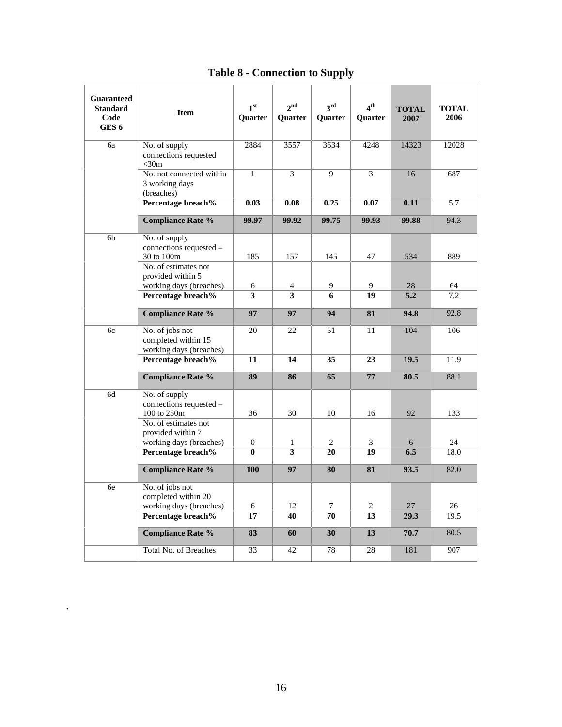<span id="page-19-0"></span>

| <b>Guaranteed</b><br><b>Standard</b><br>Code<br>GES <sub>6</sub> | <b>Item</b>                                                                    | 1 <sup>st</sup><br>Quarter | 2 <sup>nd</sup><br>Quarter | $3^{\text{rd}}$<br>Quarter | 4 <sup>th</sup><br>Quarter | <b>TOTAL</b><br>2007 | <b>TOTAL</b><br>2006 |
|------------------------------------------------------------------|--------------------------------------------------------------------------------|----------------------------|----------------------------|----------------------------|----------------------------|----------------------|----------------------|
| 6a                                                               | No. of supply<br>connections requested<br>$<$ 30m                              | 2884                       | 3557                       | 3634                       | 4248                       | 14323                | 12028                |
|                                                                  | No. not connected within<br>3 working days<br>(breaches)                       | $\mathbf{1}$               | 3                          | 9                          | 3                          | 16                   | 687                  |
|                                                                  | Percentage breach%                                                             | 0.03                       | 0.08                       | 0.25                       | 0.07                       | 0.11                 | 5.7                  |
|                                                                  | <b>Compliance Rate %</b>                                                       | 99.97                      | 99.92                      | 99.75                      | 99.93                      | 99.88                | 94.3                 |
| 6 <sub>b</sub>                                                   | No. of supply<br>connections requested -<br>30 to 100m<br>No. of estimates not | 185                        | 157                        | 145                        | 47                         | 534                  | 889                  |
|                                                                  | provided within 5<br>working days (breaches)                                   | 6                          | 4                          | 9                          | 9                          | 28                   | 64                   |
|                                                                  | Percentage breach%                                                             | 3                          | $\overline{\mathbf{3}}$    | 6                          | 19                         | 5.2                  | 7.2                  |
|                                                                  | <b>Compliance Rate %</b>                                                       | 97                         | 97                         | 94                         | 81                         | 94.8                 | 92.8                 |
| 6c                                                               | No. of jobs not<br>completed within 15<br>working days (breaches)              | 20                         | 22                         | 51                         | 11                         | 104                  | 106                  |
|                                                                  | Percentage breach%                                                             | 11                         | 14                         | 35                         | 23                         | 19.5                 | 11.9                 |
|                                                                  | <b>Compliance Rate %</b>                                                       | 89                         | 86                         | 65                         | 77                         | 80.5                 | 88.1                 |
| 6d                                                               | No. of supply<br>connections requested -<br>100 to 250m                        | 36                         | 30                         | 10                         | 16                         | 92                   | 133                  |
|                                                                  | No. of estimates not<br>provided within 7<br>working days (breaches)           | $\boldsymbol{0}$           | $\mathbf{1}$               | 2                          | 3                          | 6                    | 24                   |
|                                                                  | Percentage breach%                                                             | $\bf{0}$                   | $\overline{\overline{3}}$  | 20                         | 19                         | 6.5                  | 18.0                 |
|                                                                  | <b>Compliance Rate %</b>                                                       | 100                        | 97                         | 80                         | 81                         | 93.5                 | 82.0                 |
| 6e                                                               | No. of jobs not<br>completed within 20<br>working days (breaches)              | 6                          | 12                         | 7                          | 2                          | 27                   | 26                   |
|                                                                  | Percentage breach%                                                             | 17                         | 40                         | 70                         | 13                         | 29.3                 | 19.5                 |
|                                                                  | <b>Compliance Rate %</b>                                                       | 83                         | 60                         | 30                         | 13                         | 70.7                 | 80.5                 |
|                                                                  | Total No. of Breaches                                                          | 33                         | 42                         | 78                         | 28                         | 181                  | 907                  |

## **Table 8 - Connection to Supply**

.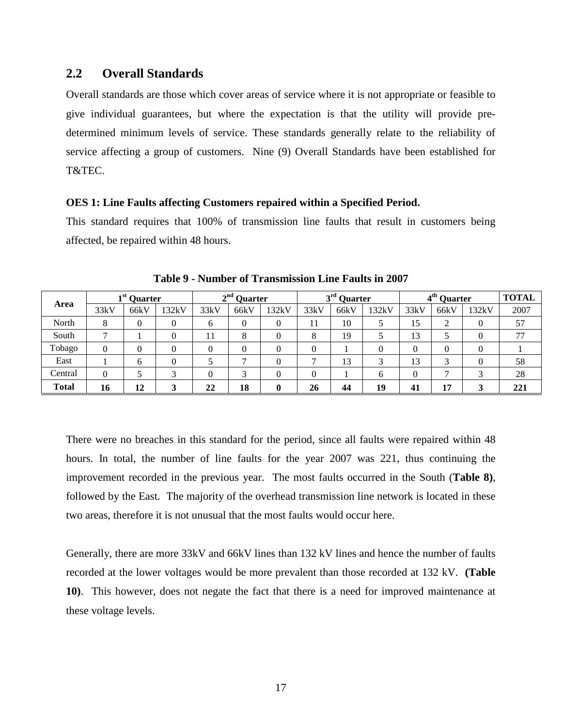## <span id="page-20-0"></span>**2.2 Overall Standards**

Overall standards are those which cover areas of service where it is not appropriate or feasible to give individual guarantees, but where the expectation is that the utility will provide predetermined minimum levels of service. These standards generally relate to the reliability of service affecting a group of customers. Nine (9) Overall Standards have been established for T&TEC.

#### <span id="page-20-1"></span>**OES 1: Line Faults affecting Customers repaired within a Specified Period.**

This standard requires that 100% of transmission line faults that result in customers being affected, be repaired within 48 hours.

<span id="page-20-2"></span>

|              | $1st$ Quarter |      |       | $2nd$ Quarter |                              | $3rd$ Quarter |      |      | 4 <sup>th</sup> Quarter | <b>TOTAL</b> |                               |          |      |
|--------------|---------------|------|-------|---------------|------------------------------|---------------|------|------|-------------------------|--------------|-------------------------------|----------|------|
| Area         | 33kV          | 66kV | 132kV | 33kV          | 66kV                         | 132kV         | 33kV | 66kV | 132kV                   | 33kV         | 66kV                          | 132kV    | 2007 |
| North        | 8             | 0    |       | <sub>b</sub>  | $\theta$                     | $\theta$      |      | 10   |                         | 15           | ◠<br>$\overline{\phantom{a}}$ | 0        | 57   |
| South        |               |      |       | 11            | 8                            |               |      | 19   |                         | 13           |                               |          | 77   |
| Tobago       |               |      |       |               | $\theta$                     |               |      |      |                         |              | 0                             | 0        |      |
| East         |               | h    |       |               | ⇁                            |               |      | 13   |                         | 13           | $\sim$                        | $\theta$ | 58   |
| Central      | 0             |      |       |               | $\overline{\mathbf{c}}$<br>J |               |      |      |                         | 0            | −                             | 3        | 28   |
| <b>Total</b> | 16            | 12   |       | 22            | 18                           | 0             | 26   | 44   | 19                      | 41           | 17                            |          | 221  |

**Table 9 - Number of Transmission Line Faults in 2007**

There were no breaches in this standard for the period, since all faults were repaired within 48 hours. In total, the number of line faults for the year 2007 was 221, thus continuing the improvement recorded in the previous year. The most faults occurred in the South (**Table 8)**, followed by the East. The majority of the overhead transmission line network is located in these two areas, therefore it is not unusual that the most faults would occur here.

Generally, there are more 33kV and 66kV lines than 132 kV lines and hence the number of faults recorded at the lower voltages would be more prevalent than those recorded at 132 kV. **(Table 10)**. This however, does not negate the fact that there is a need for improved maintenance at these voltage levels.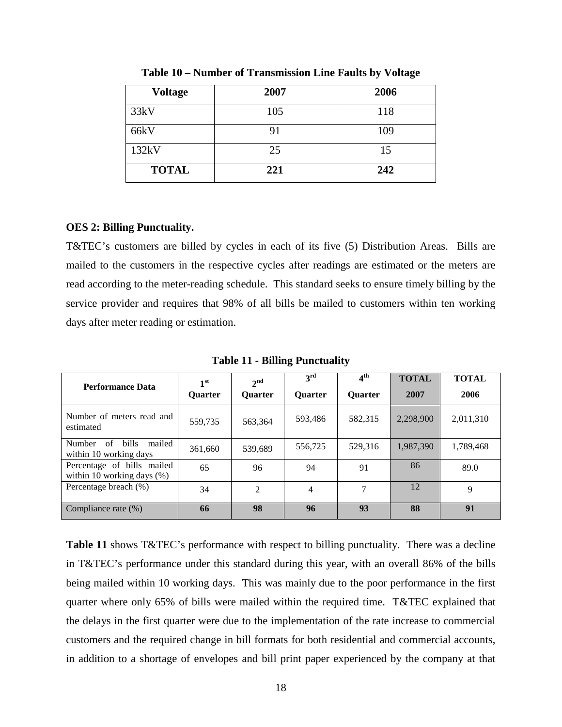<span id="page-21-1"></span>

| <b>Voltage</b> | 2007 | 2006 |
|----------------|------|------|
| 33kV           | 105  | 118  |
| 66kV           | 91   | 109  |
| 132kV          | 25   | 15   |
| <b>TOTAL</b>   | 221  | 242  |

**Table 10 – Number of Transmission Line Faults by Voltage** 

### <span id="page-21-0"></span>**OES 2: Billing Punctuality.**

T&TEC's customers are billed by cycles in each of its five (5) Distribution Areas. Bills are mailed to the customers in the respective cycles after readings are estimated or the meters are read according to the meter-reading schedule. This standard seeks to ensure timely billing by the service provider and requires that 98% of all bills be mailed to customers within ten working days after meter reading or estimation.

<span id="page-21-2"></span>

| <b>Performance Data</b>                                          | 1 <sup>st</sup><br><b>Ouarter</b> | 2 <sup>nd</sup><br><b>Ouarter</b> | 3 <sup>rd</sup><br><b>Ouarter</b> | $4^{\text{th}}$<br><b>Ouarter</b> | <b>TOTAL</b><br>2007 | <b>TOTAL</b><br>2006 |
|------------------------------------------------------------------|-----------------------------------|-----------------------------------|-----------------------------------|-----------------------------------|----------------------|----------------------|
| Number of meters read and<br>estimated                           | 559,735                           | 563,364                           | 593,486                           | 582,315                           | 2,298,900            | 2,011,310            |
| <b>bills</b><br>mailed<br>Number<br>of<br>within 10 working days | 361,660                           | 539,689                           | 556,725                           | 529.316                           | 1,987,390            | 1,789,468            |
| Percentage of bills mailed<br>within 10 working days $(\%)$      | 65                                | 96                                | 94                                | 91                                | 86                   | 89.0                 |
| Percentage breach (%)                                            | 34                                | $\mathfrak{D}$                    | 4                                 | 7                                 | 12                   | 9                    |
| Compliance rate (%)                                              | 66                                | 98                                | 96                                | 93                                | 88                   | 91                   |

**Table 11 - Billing Punctuality**

**Table 11** shows T&TEC's performance with respect to billing punctuality. There was a decline in T&TEC's performance under this standard during this year, with an overall 86% of the bills being mailed within 10 working days. This was mainly due to the poor performance in the first quarter where only 65% of bills were mailed within the required time. T&TEC explained that the delays in the first quarter were due to the implementation of the rate increase to commercial customers and the required change in bill formats for both residential and commercial accounts, in addition to a shortage of envelopes and bill print paper experienced by the company at that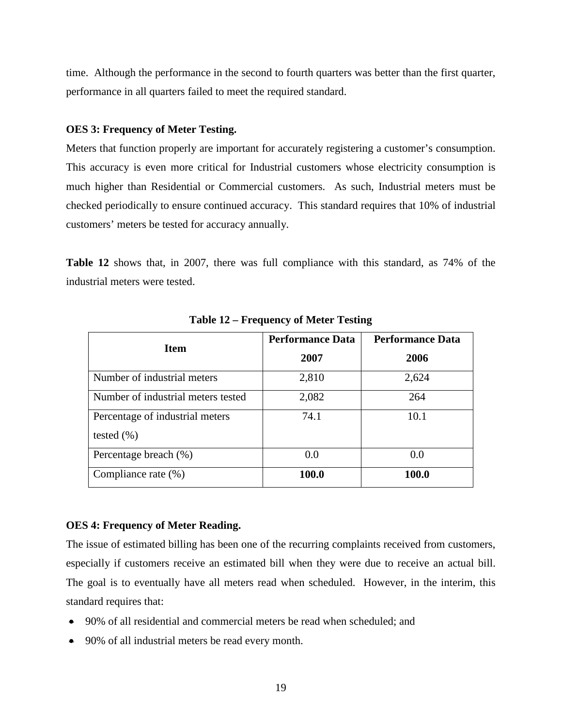time. Although the performance in the second to fourth quarters was better than the first quarter, performance in all quarters failed to meet the required standard.

### <span id="page-22-0"></span>**OES 3: Frequency of Meter Testing.**

Meters that function properly are important for accurately registering a customer's consumption. This accuracy is even more critical for Industrial customers whose electricity consumption is much higher than Residential or Commercial customers. As such, Industrial meters must be checked periodically to ensure continued accuracy. This standard requires that 10% of industrial customers' meters be tested for accuracy annually.

**Table 12** shows that, in 2007, there was full compliance with this standard, as 74% of the industrial meters were tested.

<span id="page-22-2"></span>

| <b>Item</b>                        | <b>Performance Data</b> | <b>Performance Data</b> |
|------------------------------------|-------------------------|-------------------------|
|                                    | 2007                    | 2006                    |
| Number of industrial meters        | 2,810                   | 2,624                   |
| Number of industrial meters tested | 2,082                   | 264                     |
| Percentage of industrial meters    | 74.1                    | 10.1                    |
| tested $(\% )$                     |                         |                         |
| Percentage breach (%)              | 0.0                     | 0.0                     |
| Compliance rate $(\%)$             | 100.0                   | 100.0                   |

**Table 12 – Frequency of Meter Testing**

#### <span id="page-22-1"></span>**OES 4: Frequency of Meter Reading.**

The issue of estimated billing has been one of the recurring complaints received from customers, especially if customers receive an estimated bill when they were due to receive an actual bill. The goal is to eventually have all meters read when scheduled. However, in the interim, this standard requires that:

- 90% of all residential and commercial meters be read when scheduled; and
- 90% of all industrial meters be read every month.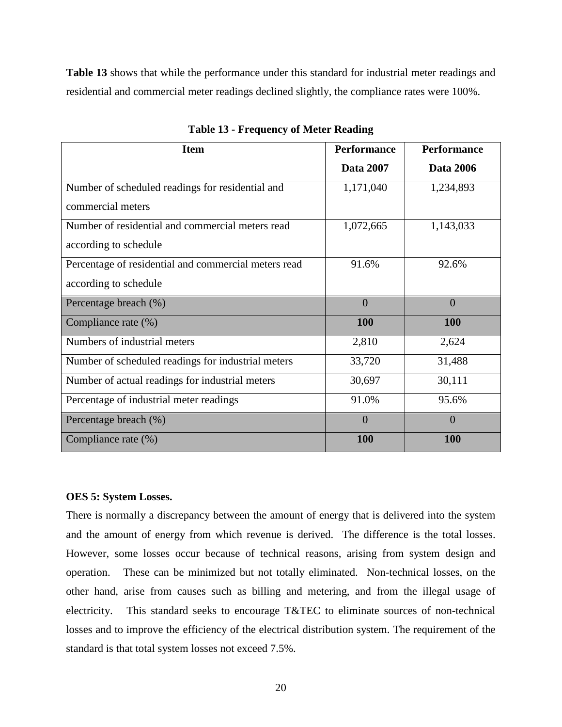**Table 13** shows that while the performance under this standard for industrial meter readings and residential and commercial meter readings declined slightly, the compliance rates were 100%.

<span id="page-23-1"></span>

| <b>Item</b>                                          | <b>Performance</b> | <b>Performance</b> |
|------------------------------------------------------|--------------------|--------------------|
|                                                      | <b>Data 2007</b>   | <b>Data 2006</b>   |
| Number of scheduled readings for residential and     | 1,171,040          | 1,234,893          |
| commercial meters                                    |                    |                    |
| Number of residential and commercial meters read     | 1,072,665          | 1,143,033          |
| according to schedule                                |                    |                    |
| Percentage of residential and commercial meters read | 91.6%              | 92.6%              |
| according to schedule                                |                    |                    |
| Percentage breach (%)                                | $\overline{0}$     | $\overline{0}$     |
| Compliance rate (%)                                  | <b>100</b>         | <b>100</b>         |
| Numbers of industrial meters                         | 2,810              | 2,624              |
| Number of scheduled readings for industrial meters   | 33,720             | 31,488             |
| Number of actual readings for industrial meters      | 30,697             | 30,111             |
| Percentage of industrial meter readings              | 91.0%              | 95.6%              |
| Percentage breach (%)                                | $\overline{0}$     | $\overline{0}$     |
| Compliance rate (%)                                  | <b>100</b>         | <b>100</b>         |

**Table 13 - Frequency of Meter Reading**

### <span id="page-23-0"></span>**OES 5: System Losses.**

There is normally a discrepancy between the amount of energy that is delivered into the system and the amount of energy from which revenue is derived. The difference is the total losses. However, some losses occur because of technical reasons, arising from system design and operation. These can be minimized but not totally eliminated. Non-technical losses, on the other hand, arise from causes such as billing and metering, and from the illegal usage of electricity. This standard seeks to encourage T&TEC to eliminate sources of non-technical losses and to improve the efficiency of the electrical distribution system. The requirement of the standard is that total system losses not exceed 7.5%.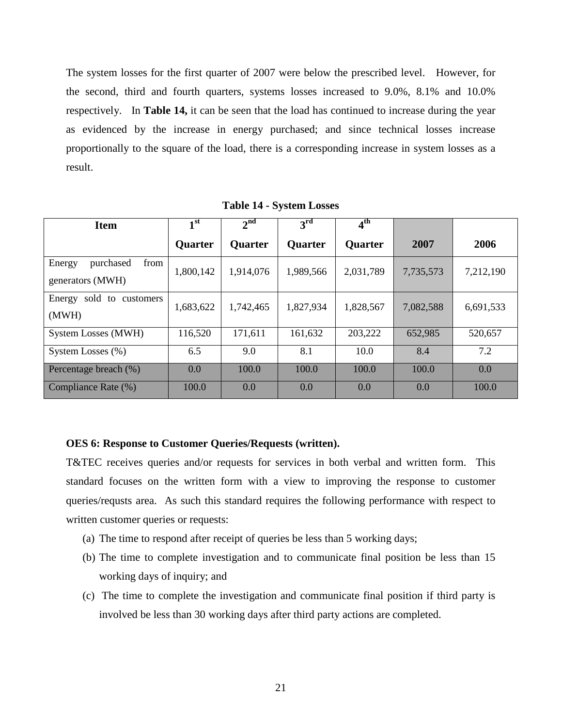The system losses for the first quarter of 2007 were below the prescribed level. However, for the second, third and fourth quarters, systems losses increased to 9.0%, 8.1% and 10.0% respectively. In **Table 14,** it can be seen that the load has continued to increase during the year as evidenced by the increase in energy purchased; and since technical losses increase proportionally to the square of the load, there is a corresponding increase in system losses as a result.

<span id="page-24-1"></span>

| <b>Item</b>                                     | 1 <sup>st</sup> | 2 <sup>nd</sup> | $3^{\rm rd}$   | 4 <sup>th</sup> |           |           |
|-------------------------------------------------|-----------------|-----------------|----------------|-----------------|-----------|-----------|
|                                                 | <b>Quarter</b>  | <b>Ouarter</b>  | <b>Ouarter</b> | <b>Quarter</b>  | 2007      | 2006      |
| from<br>purchased<br>Energy<br>generators (MWH) | 1,800,142       | 1,914,076       | 1,989,566      | 2,031,789       | 7,735,573 | 7,212,190 |
| sold to customers<br>Energy<br>(MWH)            | 1,683,622       | 1,742,465       | 1,827,934      | 1,828,567       | 7,082,588 | 6,691,533 |
| <b>System Losses (MWH)</b>                      | 116,520         | 171,611         | 161,632        | 203,222         | 652,985   | 520,657   |
| System Losses (%)                               | 6.5             | 9.0             | 8.1            | 10.0            | 8.4       | 7.2       |
| Percentage breach (%)                           | 0.0             | 100.0           | 100.0          | 100.0           | 100.0     | 0.0       |
| Compliance Rate (%)                             | 100.0           | 0.0             | 0.0            | 0.0             | 0.0       | 100.0     |

**Table 14 - System Losses** 

#### <span id="page-24-0"></span>**OES 6: Response to Customer Queries/Requests (written).**

T&TEC receives queries and/or requests for services in both verbal and written form. This standard focuses on the written form with a view to improving the response to customer queries/requsts area. As such this standard requires the following performance with respect to written customer queries or requests:

- (a) The time to respond after receipt of queries be less than 5 working days;
- (b) The time to complete investigation and to communicate final position be less than 15 working days of inquiry; and
- (c) The time to complete the investigation and communicate final position if third party is involved be less than 30 working days after third party actions are completed.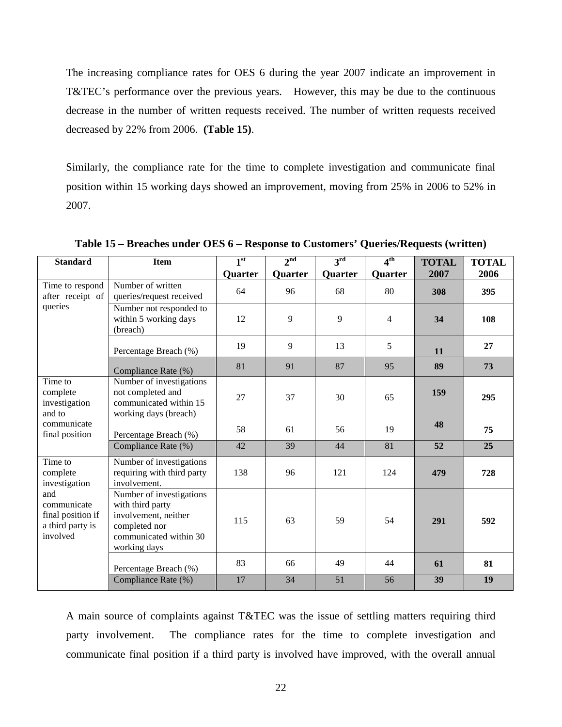The increasing compliance rates for OES 6 during the year 2007 indicate an improvement in T&TEC's performance over the previous years. However, this may be due to the continuous decrease in the number of written requests received. The number of written requests received decreased by 22% from 2006. **(Table 15)**.

Similarly, the compliance rate for the time to complete investigation and communicate final position within 15 working days showed an improvement, moving from 25% in 2006 to 52% in 2007.

| <b>Standard</b>                                                         | <b>Item</b>                                                                                                                     | 1 <sup>st</sup> | 2 <sup>nd</sup> | $3^{\rm rd}$ | 4 <sup>th</sup> | <b>TOTAL</b> | <b>TOTAL</b> |
|-------------------------------------------------------------------------|---------------------------------------------------------------------------------------------------------------------------------|-----------------|-----------------|--------------|-----------------|--------------|--------------|
|                                                                         |                                                                                                                                 | Quarter         | Quarter         | Quarter      | Quarter         | 2007         | 2006         |
| Time to respond<br>after receipt of                                     | Number of written<br>queries/request received                                                                                   | 64              | 96              | 68           | 80              | 308          | 395          |
| queries                                                                 | Number not responded to<br>within 5 working days<br>(breach)                                                                    | 12              | 9               | 9            | $\overline{4}$  | 34           | 108          |
|                                                                         | Percentage Breach (%)                                                                                                           | 19              | 9               | 13           | 5               | 11           | 27           |
|                                                                         | Compliance Rate (%)                                                                                                             | 81              | 91              | 87           | 95              | 89           | 73           |
| Time to<br>complete<br>investigation<br>and to                          | Number of investigations<br>not completed and<br>communicated within 15<br>working days (breach)                                | 27              | 37              | 30           | 65              | 159          | 295          |
| communicate<br>final position                                           | Percentage Breach (%)                                                                                                           | 58              | 61              | 56           | 19              | 48           | 75           |
|                                                                         | Compliance Rate (%)                                                                                                             | 42              | 39              | 44           | 81              | 52           | 25           |
| Time to<br>complete<br>investigation                                    | Number of investigations<br>requiring with third party<br>involvement.                                                          | 138             | 96              | 121          | 124             | 479          | 728          |
| and<br>communicate<br>final position if<br>a third party is<br>involved | Number of investigations<br>with third party<br>involvement, neither<br>completed nor<br>communicated within 30<br>working days | 115             | 63              | 59           | 54              | 291          | 592          |
|                                                                         | Percentage Breach (%)                                                                                                           | 83              | 66              | 49           | 44              | 61           | 81           |
|                                                                         | Compliance Rate (%)                                                                                                             | 17              | 34              | 51           | 56              | 39           | 19           |

<span id="page-25-0"></span>**Table 15 – Breaches under OES 6 – Response to Customers' Queries/Requests (written)**

A main source of complaints against T&TEC was the issue of settling matters requiring third party involvement. The compliance rates for the time to complete investigation and communicate final position if a third party is involved have improved, with the overall annual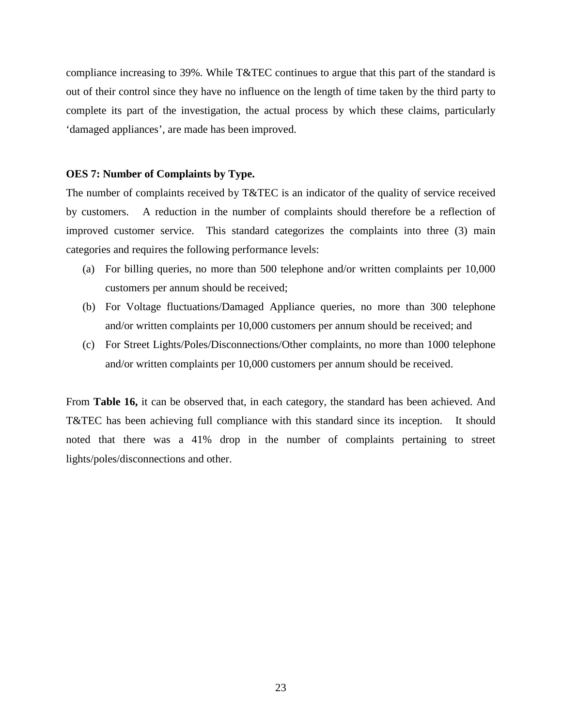compliance increasing to 39%. While T&TEC continues to argue that this part of the standard is out of their control since they have no influence on the length of time taken by the third party to complete its part of the investigation, the actual process by which these claims, particularly 'damaged appliances', are made has been improved.

### <span id="page-26-0"></span>**OES 7: Number of Complaints by Type.**

The number of complaints received by T&TEC is an indicator of the quality of service received by customers. A reduction in the number of complaints should therefore be a reflection of improved customer service. This standard categorizes the complaints into three (3) main categories and requires the following performance levels:

- (a) For billing queries, no more than 500 telephone and/or written complaints per 10,000 customers per annum should be received;
- (b) For Voltage fluctuations/Damaged Appliance queries, no more than 300 telephone and/or written complaints per 10,000 customers per annum should be received; and
- (c) For Street Lights/Poles/Disconnections/Other complaints, no more than 1000 telephone and/or written complaints per 10,000 customers per annum should be received.

From **Table 16,** it can be observed that, in each category, the standard has been achieved. And T&TEC has been achieving full compliance with this standard since its inception. It should noted that there was a 41% drop in the number of complaints pertaining to street lights/poles/disconnections and other.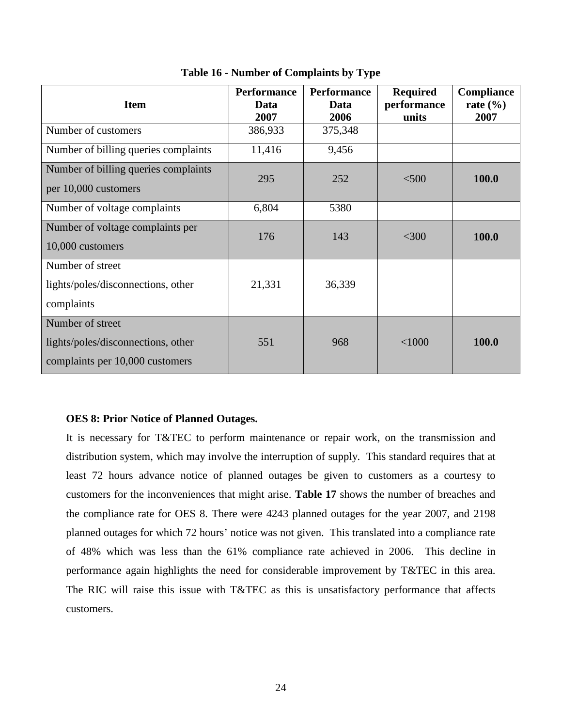<span id="page-27-1"></span>

| <b>Item</b>                                                                               | <b>Performance</b><br>Data<br>2007 | <b>Performance</b><br>Data<br>2006 | <b>Required</b><br>performance<br>units | Compliance<br>rate $(\% )$<br>2007 |
|-------------------------------------------------------------------------------------------|------------------------------------|------------------------------------|-----------------------------------------|------------------------------------|
| Number of customers                                                                       | 386,933                            | 375,348                            |                                         |                                    |
| Number of billing queries complaints                                                      | 11,416                             | 9,456                              |                                         |                                    |
| Number of billing queries complaints<br>per 10,000 customers                              | 295                                | 252                                | $<$ 500                                 | 100.0                              |
| Number of voltage complaints                                                              | 6,804                              | 5380                               |                                         |                                    |
| Number of voltage complaints per<br>10,000 customers                                      | 176                                | 143                                | $<$ 300                                 | 100.0                              |
| Number of street<br>lights/poles/disconnections, other<br>complaints                      | 21,331                             | 36,339                             |                                         |                                    |
| Number of street<br>lights/poles/disconnections, other<br>complaints per 10,000 customers | 551                                | 968                                | $<$ 1000                                | 100.0                              |

**Table 16 - Number of Complaints by Type**

### <span id="page-27-0"></span>**OES 8: Prior Notice of Planned Outages.**

It is necessary for T&TEC to perform maintenance or repair work, on the transmission and distribution system, which may involve the interruption of supply. This standard requires that at least 72 hours advance notice of planned outages be given to customers as a courtesy to customers for the inconveniences that might arise. **Table 17** shows the number of breaches and the compliance rate for OES 8. There were 4243 planned outages for the year 2007, and 2198 planned outages for which 72 hours' notice was not given. This translated into a compliance rate of 48% which was less than the 61% compliance rate achieved in 2006. This decline in performance again highlights the need for considerable improvement by T&TEC in this area. The RIC will raise this issue with T&TEC as this is unsatisfactory performance that affects customers.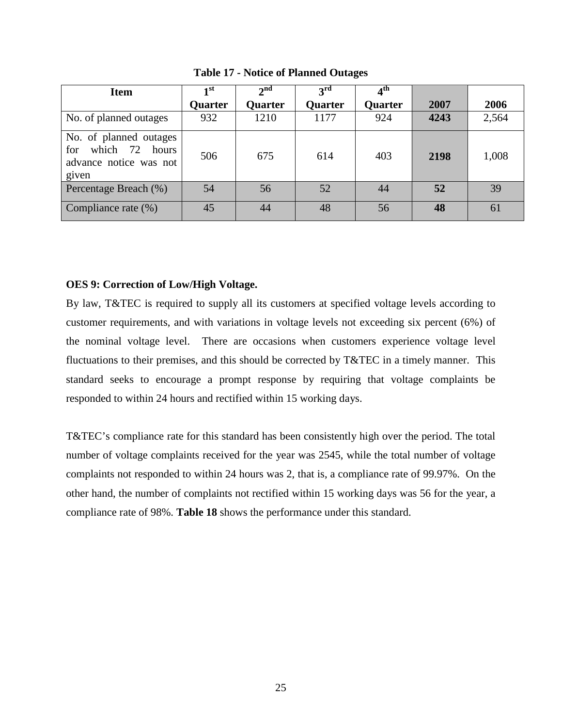<span id="page-28-1"></span>

| <b>Item</b>                                                                        | $\mathbf{I}$ st | $\boldsymbol{\gamma}$ nd | $\mathbf{a}^{\rm rd}$ | 4th     |      |       |
|------------------------------------------------------------------------------------|-----------------|--------------------------|-----------------------|---------|------|-------|
|                                                                                    | Quarter         | <b>Quarter</b>           | <b>Quarter</b>        | Quarter | 2007 | 2006  |
| No. of planned outages                                                             | 932             | 1210                     | 1177                  | 924     | 4243 | 2,564 |
| No. of planned outages<br>which 72 hours<br>for<br>advance notice was not<br>given | 506             | 675                      | 614                   | 403     | 2198 | 1,008 |
| Percentage Breach (%)                                                              | 54              | 56                       | 52                    | 44      | 52   | 39    |
| Compliance rate (%)                                                                | 45              | 44                       | 48                    | 56      | 48   | 61    |

**Table 17 - Notice of Planned Outages**

### <span id="page-28-0"></span>**OES 9: Correction of Low/High Voltage.**

By law, T&TEC is required to supply all its customers at specified voltage levels according to customer requirements, and with variations in voltage levels not exceeding six percent (6%) of the nominal voltage level. There are occasions when customers experience voltage level fluctuations to their premises, and this should be corrected by T&TEC in a timely manner. This standard seeks to encourage a prompt response by requiring that voltage complaints be responded to within 24 hours and rectified within 15 working days.

T&TEC's compliance rate for this standard has been consistently high over the period. The total number of voltage complaints received for the year was 2545, while the total number of voltage complaints not responded to within 24 hours was 2, that is, a compliance rate of 99.97%. On the other hand, the number of complaints not rectified within 15 working days was 56 for the year, a compliance rate of 98%. **Table 18** shows the performance under this standard.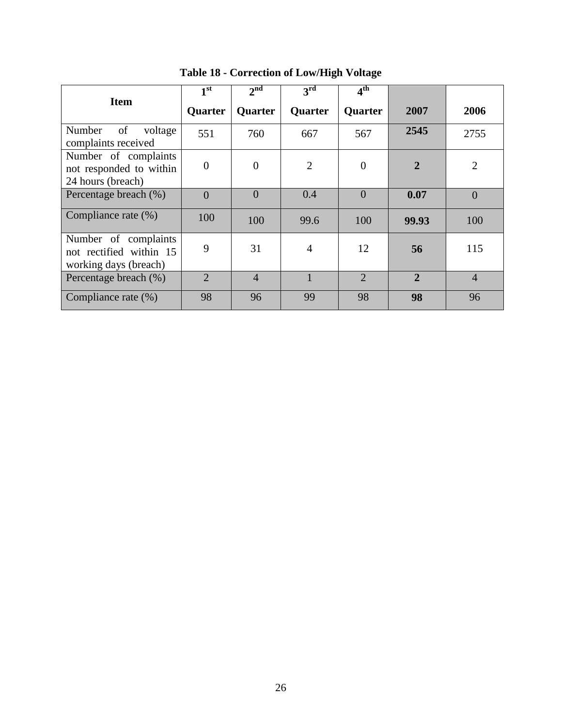<span id="page-29-0"></span>

|                                                                          | 1 <sup>st</sup> | 2 <sup>nd</sup> | 3 <sup>rd</sup> | 4 <sup>th</sup>             |                |                |
|--------------------------------------------------------------------------|-----------------|-----------------|-----------------|-----------------------------|----------------|----------------|
| <b>Item</b>                                                              | Quarter         | <b>Quarter</b>  | <b>Quarter</b>  | <b>Quarter</b>              | 2007           | 2006           |
| of<br>Number<br>voltage<br>complaints received                           | 551             | 760             | 667             | 567                         | 2545           | 2755           |
| Number of complaints<br>not responded to within<br>24 hours (breach)     | $\overline{0}$  | $\Omega$        | $\overline{2}$  | $\theta$                    | $\overline{2}$ | $\overline{2}$ |
| Percentage breach (%)                                                    | $\Omega$        | $\theta$        | 0.4             | $\theta$                    | 0.07           | $\overline{0}$ |
| Compliance rate (%)                                                      | 100             | 100             | 99.6            | 100                         | 99.93          | 100            |
| Number of complaints<br>not rectified within 15<br>working days (breach) | 9               | 31              | 4               | 12                          | 56             | 115            |
| Percentage breach (%)                                                    | $\overline{2}$  | $\overline{4}$  |                 | $\mathcal{D}_{\mathcal{L}}$ | $\overline{2}$ | $\overline{4}$ |
| Compliance rate (%)                                                      | 98              | 96              | 99              | 98                          | 98             | 96             |

**Table 18 - Correction of Low/High Voltage**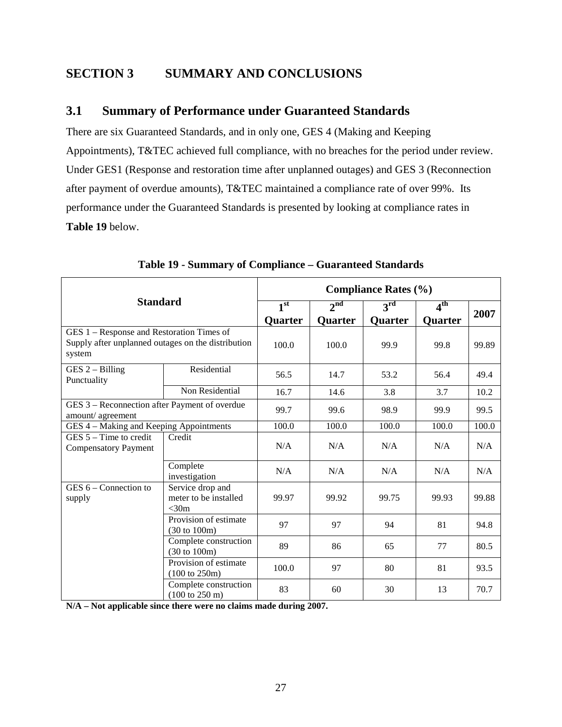## <span id="page-30-0"></span>**SECTION 3 SUMMARY AND CONCLUSIONS**

## <span id="page-30-1"></span>**3.1 Summary of Performance under Guaranteed Standards**

There are six Guaranteed Standards, and in only one, GES 4 (Making and Keeping Appointments), T&TEC achieved full compliance, with no breaches for the period under review. Under GES1 (Response and restoration time after unplanned outages) and GES 3 (Reconnection after payment of overdue amounts), T&TEC maintained a compliance rate of over 99%. Its performance under the Guaranteed Standards is presented by looking at compliance rates in **Table 19** below.

<span id="page-30-2"></span>

|                                                                                                           |                                                            | <b>Compliance Rates (%)</b> |                 |              |              |       |  |  |  |
|-----------------------------------------------------------------------------------------------------------|------------------------------------------------------------|-----------------------------|-----------------|--------------|--------------|-------|--|--|--|
| <b>Standard</b>                                                                                           |                                                            | 1 <sup>st</sup>             | 2 <sup>nd</sup> | $3^{\rm rd}$ | $4^{\rm th}$ |       |  |  |  |
|                                                                                                           |                                                            | Quarter                     | Quarter         | Quarter      | Quarter      | 2007  |  |  |  |
| GES 1 – Response and Restoration Times of<br>Supply after unplanned outages on the distribution<br>system |                                                            | 100.0                       | 100.0           | 99.9         | 99.8         | 99.89 |  |  |  |
| $GES 2 - Billing$<br>Punctuality                                                                          | Residential                                                | 56.5                        | 14.7            | 53.2         | 56.4         | 49.4  |  |  |  |
|                                                                                                           | Non Residential                                            | 16.7                        | 14.6            | 3.8          | 3.7          | 10.2  |  |  |  |
| GES 3 - Reconnection after Payment of overdue<br>amount/agreement                                         |                                                            | 99.7                        | 99.6            | 98.9         | 99.9         | 99.5  |  |  |  |
| GES 4 - Making and Keeping Appointments                                                                   |                                                            | 100.0                       | 100.0           | 100.0        | 100.0        | 100.0 |  |  |  |
| $GES 5 - Time to credit$<br><b>Compensatory Payment</b>                                                   | Credit                                                     | N/A                         | N/A             | N/A          | N/A          | N/A   |  |  |  |
|                                                                                                           | Complete<br>investigation                                  | N/A                         | N/A             | N/A          | N/A          | N/A   |  |  |  |
| $GES 6 - Connection to$<br>supply                                                                         | Service drop and<br>meter to be installed<br>$<$ 30m       | 99.97                       | 99.92           | 99.75        | 99.93        | 99.88 |  |  |  |
|                                                                                                           | Provision of estimate<br>$(30 \text{ to } 100 \text{m})$   | 97                          | 97              | 94           | 81           | 94.8  |  |  |  |
|                                                                                                           | Complete construction<br>(30 to 100m)                      | 89                          | 86              | 65           | 77           | 80.5  |  |  |  |
|                                                                                                           | Provision of estimate<br>$(100 \text{ to } 250 \text{m})$  | 100.0                       | 97              | 80           | 81           | 93.5  |  |  |  |
|                                                                                                           | Complete construction<br>$(100 \text{ to } 250 \text{ m})$ | 83                          | 60              | 30           | 13           | 70.7  |  |  |  |

**Table 19 - Summary of Compliance – Guaranteed Standards**

**N/A – Not applicable since there were no claims made during 2007.**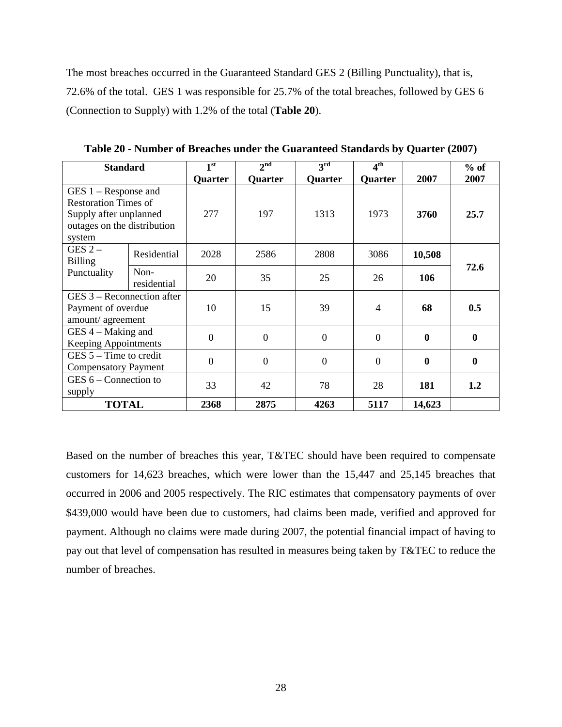The most breaches occurred in the Guaranteed Standard GES 2 (Billing Punctuality), that is, 72.6% of the total. GES 1 was responsible for 25.7% of the total breaches, followed by GES 6 (Connection to Supply) with 1.2% of the total (**Table 20**).

<span id="page-31-0"></span>

| <b>Standard</b>                                                                                                          |                                                                        | 1 <sup>st</sup> | 2 <sup>nd</sup> | $3^{\rm rd}$   | 4 <sup>th</sup> |          | $%$ of           |
|--------------------------------------------------------------------------------------------------------------------------|------------------------------------------------------------------------|-----------------|-----------------|----------------|-----------------|----------|------------------|
|                                                                                                                          |                                                                        | Quarter         | Quarter         | Quarter        | Quarter         | 2007     | 2007             |
| $GES 1 - Response$ and<br><b>Restoration Times of</b><br>Supply after unplanned<br>outages on the distribution<br>system |                                                                        | 277             | 197             | 1313           | 1973            | 3760     | 25.7             |
| GES $2-$<br><b>Billing</b>                                                                                               | Residential                                                            | 2028            | 2586            | 2808           | 3086            | 10,508   |                  |
| Punctuality                                                                                                              | Non-<br>residential                                                    | 20              | 35              | 25             | 26              | 106      | 72.6             |
|                                                                                                                          | $GES 3 - Reconnection after$<br>Payment of overdue<br>amount/agreement |                 | 15              | 39             | 4               | 68       | 0.5              |
| $GES$ 4 – Making and<br>Keeping Appointments                                                                             |                                                                        | $\overline{0}$  | $\overline{0}$  | $\overline{0}$ | $\overline{0}$  | $\bf{0}$ | $\boldsymbol{0}$ |
| $GES$ 5 – Time to credit<br><b>Compensatory Payment</b>                                                                  |                                                                        | $\theta$        | $\overline{0}$  | $\theta$       | $\overline{0}$  | $\bf{0}$ | $\boldsymbol{0}$ |
| GES $6$ – Connection to<br>supply                                                                                        |                                                                        | 33              | 42              | 78             | 28              | 181      | 1.2              |
| <b>TOTAL</b>                                                                                                             |                                                                        | 2368            | 2875            | 4263           | 5117            | 14,623   |                  |

**Table 20 - Number of Breaches under the Guaranteed Standards by Quarter (2007)**

Based on the number of breaches this year, T&TEC should have been required to compensate customers for 14,623 breaches, which were lower than the 15,447 and 25,145 breaches that occurred in 2006 and 2005 respectively. The RIC estimates that compensatory payments of over \$439,000 would have been due to customers, had claims been made, verified and approved for payment. Although no claims were made during 2007, the potential financial impact of having to pay out that level of compensation has resulted in measures being taken by T&TEC to reduce the number of breaches.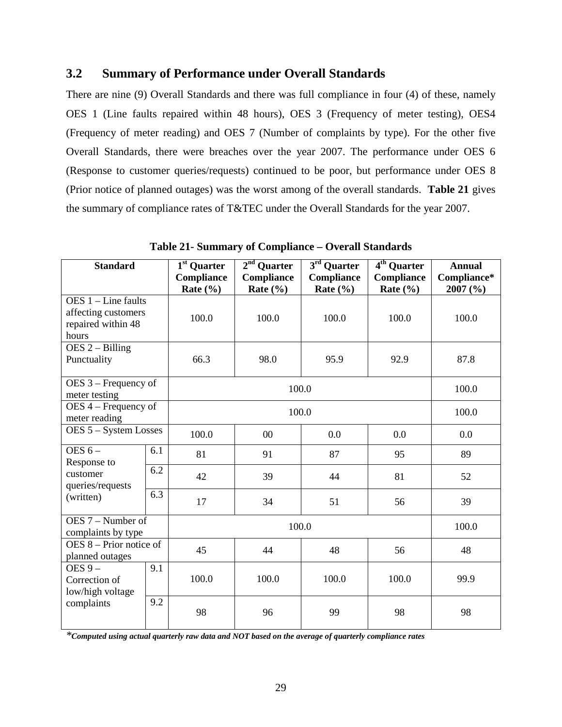## <span id="page-32-0"></span>**3.2 Summary of Performance under Overall Standards**

There are nine (9) Overall Standards and there was full compliance in four (4) of these, namely OES 1 (Line faults repaired within 48 hours), OES 3 (Frequency of meter testing), OES4 (Frequency of meter reading) and OES 7 (Number of complaints by type). For the other five Overall Standards, there were breaches over the year 2007. The performance under OES 6 (Response to customer queries/requests) continued to be poor, but performance under OES 8 (Prior notice of planned outages) was the worst among of the overall standards. **Table 21** gives the summary of compliance rates of T&TEC under the Overall Standards for the year 2007.

| <b>Standard</b>                                                             |     | $\overline{1^{st}}$ Quarter<br><b>Compliance</b><br>Rate $(\% )$ | $2nd$ Quarter<br><b>Compliance</b><br>Rate $(\% )$ | $3rd$ Quarter<br>Compliance<br>Rate $(\% )$ | $4th$ Quarter<br><b>Compliance</b><br>Rate $(\% )$ | <b>Annual</b><br>Compliance*<br>2007 (%) |
|-----------------------------------------------------------------------------|-----|------------------------------------------------------------------|----------------------------------------------------|---------------------------------------------|----------------------------------------------------|------------------------------------------|
| $OES$ 1 – Line faults<br>affecting customers<br>repaired within 48<br>hours |     | 100.0                                                            | 100.0<br>100.0                                     |                                             | 100.0                                              | 100.0                                    |
| $DES 2 - Billing$<br>Punctuality                                            |     | 66.3                                                             | 98.0                                               | 95.9                                        | 92.9                                               | 87.8                                     |
| OES 3 – Frequency of<br>meter testing                                       |     |                                                                  | 100.0                                              |                                             |                                                    | 100.0                                    |
| $OES$ 4 – Frequency of<br>meter reading                                     |     |                                                                  | 100.0                                              |                                             |                                                    |                                          |
| OES 5 - System Losses                                                       |     | 100.0                                                            | 00<br>0.0<br>0.0                                   |                                             |                                                    | 0.0                                      |
| OES $6-$<br>Response to                                                     | 6.1 | 81                                                               | 91                                                 | 87                                          | 95                                                 | 89                                       |
| customer<br>queries/requests                                                | 6.2 | 42                                                               | 39                                                 | 44                                          | 81                                                 | 52                                       |
| (written)                                                                   | 6.3 | 17                                                               | 34                                                 | 51                                          | 56                                                 | 39                                       |
| OES 7 – Number of<br>complaints by type                                     |     |                                                                  | 100.0                                              |                                             |                                                    |                                          |
| $DES 8 - Prior notice of$<br>planned outages                                |     | 45                                                               | 44                                                 | 48                                          | 56                                                 | 48                                       |
| 9.1<br>OES $9-$<br>Correction of<br>low/high voltage                        |     | 100.0                                                            | 100.0                                              | 100.0                                       | 100.0                                              | 99.9                                     |
| complaints                                                                  | 9.2 | 98                                                               | 96                                                 | 99                                          | 98                                                 | 98                                       |

**Table 21- Summary of Compliance – Overall Standards**

*\*Computed using actual quarterly raw data and NOT based on the average of quarterly compliance rates*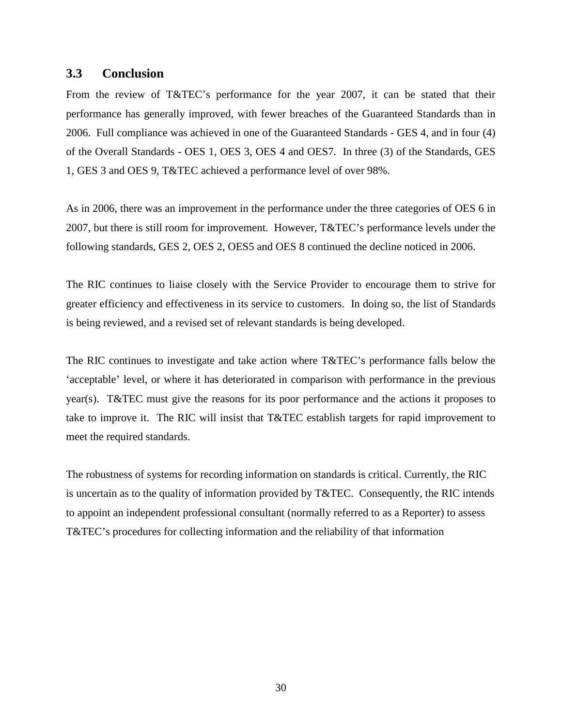### <span id="page-33-0"></span>**3.3 Conclusion**

From the review of T&TEC's performance for the year 2007, it can be stated that their performance has generally improved, with fewer breaches of the Guaranteed Standards than in 2006. Full compliance was achieved in one of the Guaranteed Standards - GES 4, and in four (4) of the Overall Standards - OES 1, OES 3, OES 4 and OES7. In three (3) of the Standards, GES 1, GES 3 and OES 9, T&TEC achieved a performance level of over 98%.

As in 2006, there was an improvement in the performance under the three categories of OES 6 in 2007, but there is still room for improvement. However, T&TEC's performance levels under the following standards, GES 2, OES 2, OES5 and OES 8 continued the decline noticed in 2006.

The RIC continues to liaise closely with the Service Provider to encourage them to strive for greater efficiency and effectiveness in its service to customers. In doing so, the list of Standards is being reviewed, and a revised set of relevant standards is being developed.

The RIC continues to investigate and take action where T&TEC's performance falls below the 'acceptable' level, or where it has deteriorated in comparison with performance in the previous year(s). T&TEC must give the reasons for its poor performance and the actions it proposes to take to improve it. The RIC will insist that T&TEC establish targets for rapid improvement to meet the required standards.

The robustness of systems for recording information on standards is critical. Currently, the RIC is uncertain as to the quality of information provided by T&TEC. Consequently, the RIC intends to appoint an independent professional consultant (normally referred to as a Reporter) to assess T&TEC's procedures for collecting information and the reliability of that information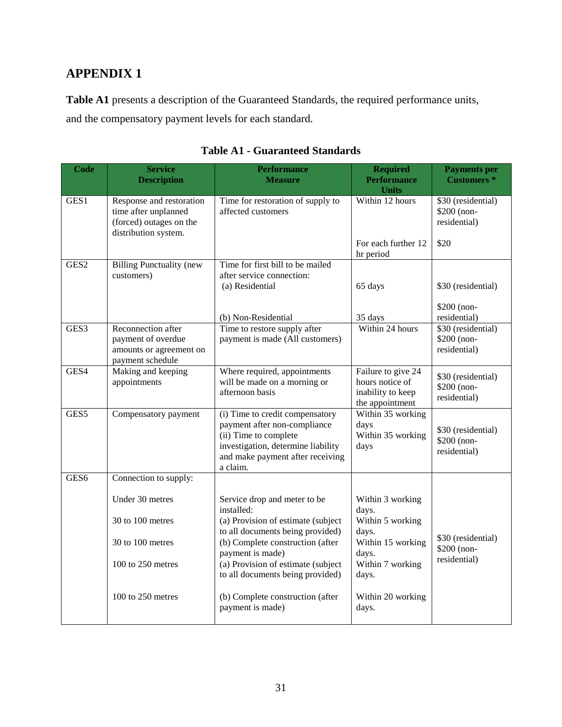## <span id="page-34-0"></span>**APPENDIX 1**

**Table A1** presents a description of the Guaranteed Standards, the required performance units, and the compensatory payment levels for each standard.

<span id="page-34-1"></span>

| <b>Code</b>      | <b>Service</b><br><b>Description</b>                                                                | <b>Performance</b><br><b>Measure</b>                                                                                                                                           |                                                                               | <b>Payments</b> per<br><b>Customers</b> *         |
|------------------|-----------------------------------------------------------------------------------------------------|--------------------------------------------------------------------------------------------------------------------------------------------------------------------------------|-------------------------------------------------------------------------------|---------------------------------------------------|
| GES1             | Response and restoration<br>time after unplanned<br>(forced) outages on the<br>distribution system. | Time for restoration of supply to<br>affected customers                                                                                                                        | Within 12 hours                                                               | \$30 (residential)<br>\$200 (non-<br>residential) |
|                  |                                                                                                     |                                                                                                                                                                                | For each further 12<br>hr period                                              | \$20                                              |
| GES <sub>2</sub> | <b>Billing Punctuality (new</b><br>customers)                                                       | Time for first bill to be mailed<br>after service connection:<br>(a) Residential                                                                                               | 65 days                                                                       | \$30 (residential)                                |
|                  |                                                                                                     | (b) Non-Residential                                                                                                                                                            | 35 days                                                                       | \$200 (non-<br>residential)                       |
| GES3             | Reconnection after<br>payment of overdue<br>amounts or agreement on<br>payment schedule             | Time to restore supply after<br>payment is made (All customers)                                                                                                                | Within 24 hours                                                               | \$30 (residential)<br>\$200 (non-<br>residential) |
| GES4             | Making and keeping<br>appointments                                                                  | Where required, appointments<br>will be made on a morning or<br>afternoon basis                                                                                                | Failure to give 24<br>hours notice of<br>inability to keep<br>the appointment | \$30 (residential)<br>\$200 (non-<br>residential) |
| GES5             | Compensatory payment                                                                                | (i) Time to credit compensatory<br>payment after non-compliance<br>(ii) Time to complete<br>investigation, determine liability<br>and make payment after receiving<br>a claim. | Within 35 working<br>days<br>Within 35 working<br>days                        | \$30 (residential)<br>\$200 (non-<br>residential) |
| GES <sub>6</sub> | Connection to supply:                                                                               |                                                                                                                                                                                |                                                                               |                                                   |
|                  | Under 30 metres<br>30 to 100 metres                                                                 | Service drop and meter to be<br>installed:<br>(a) Provision of estimate (subject<br>to all documents being provided)                                                           | Within 3 working<br>days.<br>Within 5 working<br>days.                        |                                                   |
|                  | 30 to 100 metres                                                                                    | (b) Complete construction (after<br>payment is made)                                                                                                                           | Within 15 working<br>days.                                                    | \$30 (residential)<br>\$200 (non-<br>residential) |
|                  | 100 to 250 metres                                                                                   | (a) Provision of estimate (subject<br>to all documents being provided)                                                                                                         | Within 7 working<br>days.                                                     |                                                   |
|                  | 100 to 250 metres                                                                                   | (b) Complete construction (after<br>payment is made)                                                                                                                           | Within 20 working<br>days.                                                    |                                                   |

## **Table A1 - Guaranteed Standards**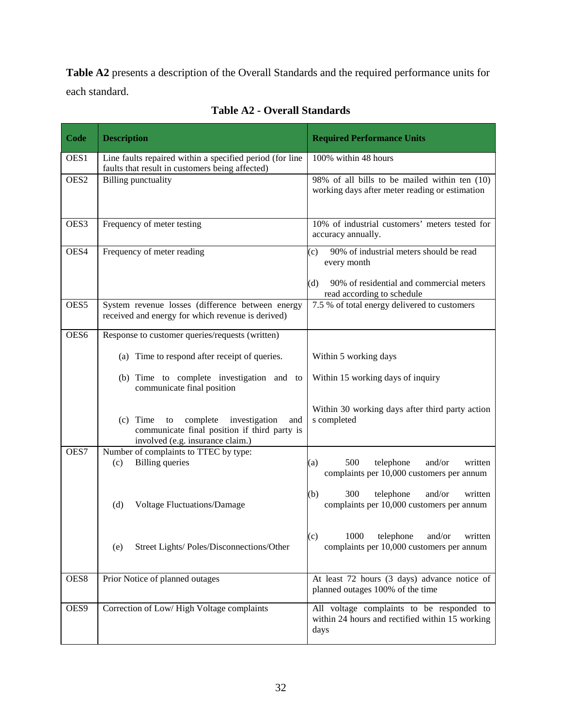**Table A2** presents a description of the Overall Standards and the required performance units for each standard.

<span id="page-35-0"></span>

| Code             | <b>Description</b>                                                                                                                 | <b>Required Performance Units</b>                                                                                                              |  |  |  |  |
|------------------|------------------------------------------------------------------------------------------------------------------------------------|------------------------------------------------------------------------------------------------------------------------------------------------|--|--|--|--|
| OES1             | Line faults repaired within a specified period (for line<br>faults that result in customers being affected)                        | 100% within 48 hours                                                                                                                           |  |  |  |  |
| OES <sub>2</sub> | <b>Billing punctuality</b>                                                                                                         | 98% of all bills to be mailed within ten (10)<br>working days after meter reading or estimation                                                |  |  |  |  |
| OES3             | Frequency of meter testing                                                                                                         | 10% of industrial customers' meters tested for<br>accuracy annually.                                                                           |  |  |  |  |
| OES4             | Frequency of meter reading                                                                                                         | 90% of industrial meters should be read<br>(c)<br>every month<br>(d)<br>90% of residential and commercial meters<br>read according to schedule |  |  |  |  |
| OES5             | System revenue losses (difference between energy<br>received and energy for which revenue is derived)                              | 7.5 % of total energy delivered to customers                                                                                                   |  |  |  |  |
| OES6             | Response to customer queries/requests (written)                                                                                    |                                                                                                                                                |  |  |  |  |
|                  | (a) Time to respond after receipt of queries.                                                                                      | Within 5 working days                                                                                                                          |  |  |  |  |
|                  | (b) Time to complete investigation and to<br>communicate final position                                                            | Within 15 working days of inquiry                                                                                                              |  |  |  |  |
|                  | $(c)$ Time to<br>complete investigation<br>and<br>communicate final position if third party is<br>involved (e.g. insurance claim.) | Within 30 working days after third party action<br>s completed                                                                                 |  |  |  |  |
| OES7             | Number of complaints to TTEC by type:<br><b>Billing</b> queries<br>(c)                                                             | 500<br>and/or<br>written<br>telephone<br>(a)<br>complaints per 10,000 customers per annum                                                      |  |  |  |  |
|                  | (d)<br><b>Voltage Fluctuations/Damage</b>                                                                                          | (b)<br>300<br>telephone<br>and/or<br>written<br>complaints per 10,000 customers per annum                                                      |  |  |  |  |
|                  | Street Lights/ Poles/Disconnections/Other<br>(e)                                                                                   | 1000 telephone and/or written<br>(c)<br>complaints per 10,000 customers per annum                                                              |  |  |  |  |
| OES8             | Prior Notice of planned outages                                                                                                    | At least 72 hours (3 days) advance notice of<br>planned outages 100% of the time                                                               |  |  |  |  |
| OES9             | Correction of Low/High Voltage complaints                                                                                          | All voltage complaints to be responded to<br>within 24 hours and rectified within 15 working<br>days                                           |  |  |  |  |

**Table A2 - Overall Standards**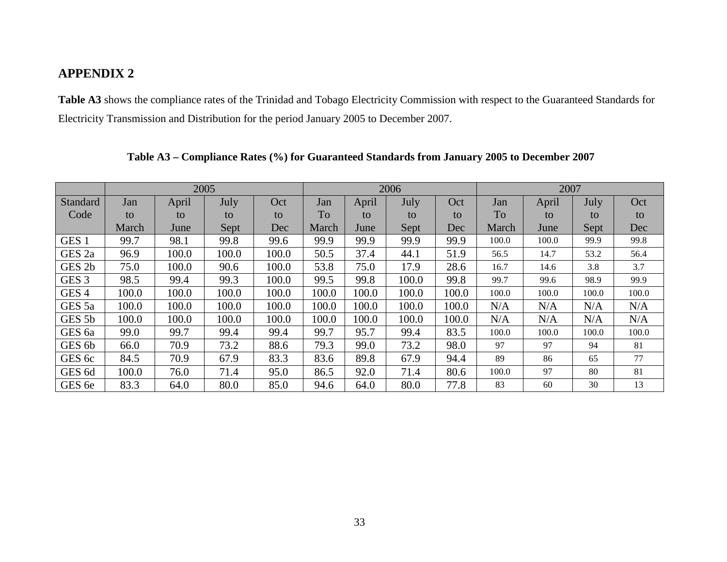## **APPENDIX 2**

**Table A3** shows the compliance rates of the Trinidad and Tobago Electricity Commission with respect to the Guaranteed Standards for Electricity Transmission and Distribution for the period January 2005 to December 2007.

<span id="page-36-1"></span><span id="page-36-0"></span>

|                   | 2005  |       |       |       | 2006  |       |       |       | 2007  |       |       |       |
|-------------------|-------|-------|-------|-------|-------|-------|-------|-------|-------|-------|-------|-------|
| Standard          | Jan   | April | July  | Oct   | Jan   | April | July  | Oct   | Jan   | April | July  | Oct   |
| Code              | to    | to    | to    | to    | To    | to    | to    | to    | To    | to    | to    | to    |
|                   | March | June  | Sept  | Dec   | March | June  | Sept  | Dec   | March | June  | Sept  | Dec   |
| GES <sub>1</sub>  | 99.7  | 98.1  | 99.8  | 99.6  | 99.9  | 99.9  | 99.9  | 99.9  | 100.0 | 100.0 | 99.9  | 99.8  |
| GES <sub>2a</sub> | 96.9  | 100.0 | 100.0 | 100.0 | 50.5  | 37.4  | 44.1  | 51.9  | 56.5  | 14.7  | 53.2  | 56.4  |
| GES <sub>2b</sub> | 75.0  | 100.0 | 90.6  | 100.0 | 53.8  | 75.0  | 17.9  | 28.6  | 16.7  | 14.6  | 3.8   | 3.7   |
| GES <sub>3</sub>  | 98.5  | 99.4  | 99.3  | 100.0 | 99.5  | 99.8  | 100.0 | 99.8  | 99.7  | 99.6  | 98.9  | 99.9  |
| GES <sub>4</sub>  | 100.0 | 100.0 | 100.0 | 100.0 | 100.0 | 100.0 | 100.0 | 100.0 | 100.0 | 100.0 | 100.0 | 100.0 |
| GES <sub>5a</sub> | 100.0 | 100.0 | 100.0 | 100.0 | 100.0 | 100.0 | 100.0 | 100.0 | N/A   | N/A   | N/A   | N/A   |
| GES 5b            | 100.0 | 100.0 | 100.0 | 100.0 | 100.0 | 100.0 | 100.0 | 100.0 | N/A   | N/A   | N/A   | N/A   |
| GES <sub>6a</sub> | 99.0  | 99.7  | 99.4  | 99.4  | 99.7  | 95.7  | 99.4  | 83.5  | 100.0 | 100.0 | 100.0 | 100.0 |
| GES 6b            | 66.0  | 70.9  | 73.2  | 88.6  | 79.3  | 99.0  | 73.2  | 98.0  | 97    | 97    | 94    | 81    |
| GES 6c            | 84.5  | 70.9  | 67.9  | 83.3  | 83.6  | 89.8  | 67.9  | 94.4  | 89    | 86    | 65    | 77    |
| GES <sub>6d</sub> | 100.0 | 76.0  | 71.4  | 95.0  | 86.5  | 92.0  | 71.4  | 80.6  | 100.0 | 97    | 80    | 81    |
| GES 6e            | 83.3  | 64.0  | 80.0  | 85.0  | 94.6  | 64.0  | 80.0  | 77.8  | 83    | 60    | 30    | 13    |

**Table A3 – Compliance Rates (%) for Guaranteed Standards from January 2005 to December 2007**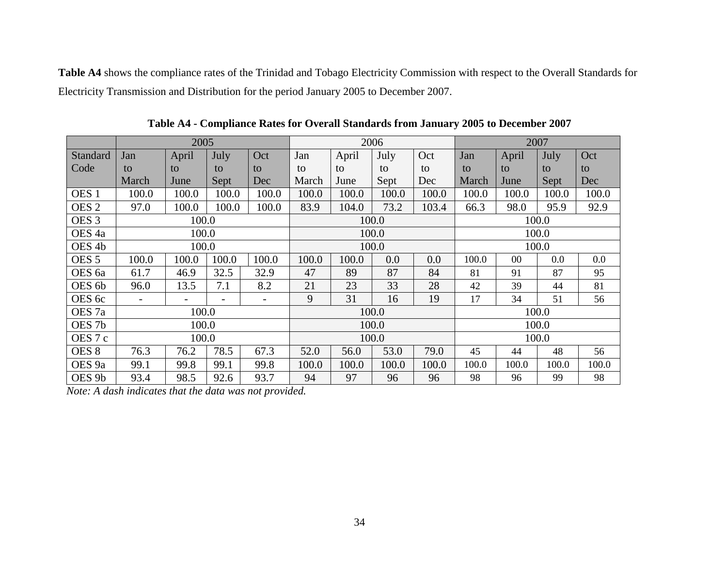**Table A4** shows the compliance rates of the Trinidad and Tobago Electricity Commission with respect to the Overall Standards for Electricity Transmission and Distribution for the period January 2005 to December 2007.

|                   | 2005                     |                          |       |       |       | 2006  |       |       |       | 2007   |       |       |  |
|-------------------|--------------------------|--------------------------|-------|-------|-------|-------|-------|-------|-------|--------|-------|-------|--|
| Standard          | Jan                      | April                    | July  | Oct   | Jan   | April | July  | Oct   | Jan   | April  | July  | Oct   |  |
| Code              | to                       | to                       | to    | to    | to    | to    | to    | to    | to    | to     | to    | to    |  |
|                   | March                    | June                     | Sept  | Dec   | March | June  | Sept  | Dec   | March | June   | Sept  | Dec   |  |
| OES <sub>1</sub>  | 100.0                    | 100.0                    | 100.0 | 100.0 | 100.0 | 100.0 | 100.0 | 100.0 | 100.0 | 100.0  | 100.0 | 100.0 |  |
| OES <sub>2</sub>  | 97.0                     | 100.0                    | 100.0 | 100.0 | 83.9  | 104.0 | 73.2  | 103.4 | 66.3  | 98.0   | 95.9  | 92.9  |  |
| OES <sub>3</sub>  |                          | 100.0                    |       |       |       |       | 100.0 |       |       |        | 100.0 |       |  |
| OES <sub>4a</sub> | 100.0                    |                          |       |       | 100.0 |       |       |       | 100.0 |        |       |       |  |
| OES <sub>4b</sub> | 100.0                    |                          |       |       | 100.0 |       |       |       | 100.0 |        |       |       |  |
| OES <sub>5</sub>  | 100.0                    | 100.0                    | 100.0 | 100.0 | 100.0 | 100.0 | 0.0   | 0.0   | 100.0 | $00\,$ | 0.0   | 0.0   |  |
| OES 6a            | 61.7                     | 46.9                     | 32.5  | 32.9  | 47    | 89    | 87    | 84    | 81    | 91     | 87    | 95    |  |
| OES 6b            | 96.0                     | 13.5                     | 7.1   | 8.2   | 21    | 23    | 33    | 28    | 42    | 39     | 44    | 81    |  |
| OES 6c            | $\overline{\phantom{a}}$ | $\overline{\phantom{0}}$ |       |       | 9     | 31    | 16    | 19    | 17    | 34     | 51    | 56    |  |
| OES <sub>7a</sub> |                          | 100.0                    |       |       | 100.0 |       |       |       | 100.0 |        |       |       |  |
| OES <sub>7b</sub> |                          | 100.0                    |       |       | 100.0 |       |       |       | 100.0 |        |       |       |  |
| OES 7 c           | 100.0                    |                          |       |       |       | 100.0 |       |       | 100.0 |        |       |       |  |
| OES <sub>8</sub>  | 76.3                     | 76.2                     | 78.5  | 67.3  | 52.0  | 56.0  | 53.0  | 79.0  | 45    | 44     | 48    | 56    |  |
| OES <sub>9a</sub> | 99.1                     | 99.8                     | 99.1  | 99.8  | 100.0 | 100.0 | 100.0 | 100.0 | 100.0 | 100.0  | 100.0 | 100.0 |  |
| OES <sub>9b</sub> | 93.4                     | 98.5                     | 92.6  | 93.7  | 94    | 97    | 96    | 96    | 98    | 96     | 99    | 98    |  |

**Table A4 - Compliance Rates for Overall Standards from January 2005 to December 2007**

<span id="page-37-0"></span>*Note: A dash indicates that the data was not provided.*